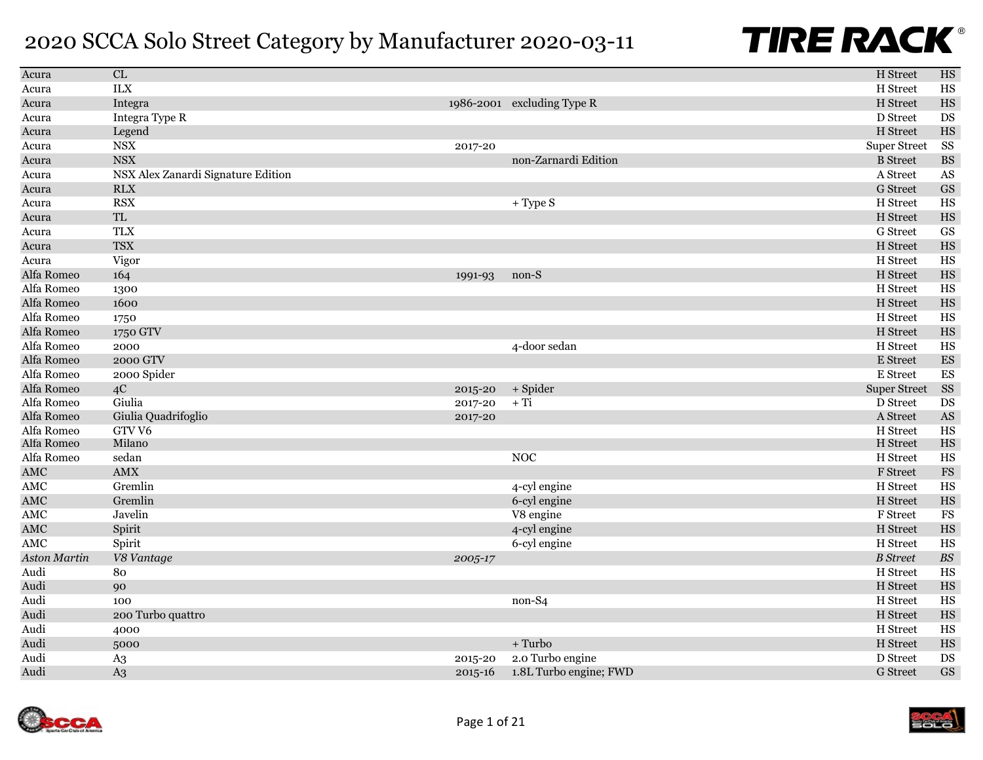| Acura        | CL                                               |             |                            | H Street            | <b>HS</b>                |
|--------------|--------------------------------------------------|-------------|----------------------------|---------------------|--------------------------|
| Acura        | <b>ILX</b>                                       |             |                            | H Street            | HS                       |
| Acura        | Integra                                          |             | 1986-2001 excluding Type R | H Street            | HS                       |
| Acura        | Integra Type R                                   |             |                            | D Street            | DS                       |
| Acura        | Legend                                           |             |                            | H Street            | HS                       |
| Acura        | $_{\mathrm{NSX}}$                                | 2017-20     |                            | <b>Super Street</b> | SS                       |
| Acura        | <b>NSX</b>                                       |             | non-Zarnardi Edition       | <b>B</b> Street     | <b>BS</b>                |
| Acura        | NSX Alex Zanardi Signature Edition               |             |                            | A Street            | AS                       |
| Acura        | <b>RLX</b>                                       |             |                            | <b>G</b> Street     | <b>GS</b>                |
| Acura        | <b>RSX</b>                                       |             | $+$ Type S                 | H Street            | HS                       |
| Acura        | $\ensuremath{\mathsf{T}}\ensuremath{\mathsf{L}}$ |             |                            | H Street            | HS                       |
| Acura        | <b>TLX</b>                                       |             |                            | G Street            | GS                       |
| Acura        | <b>TSX</b>                                       |             |                            | H Street            | HS                       |
| Acura        | Vigor                                            |             |                            | H Street            | HS                       |
| Alfa Romeo   | 164                                              | 1991-93     | non-S                      | H Street            | HS                       |
| Alfa Romeo   | 1300                                             |             |                            | H Street            | HS                       |
| Alfa Romeo   | 1600                                             |             |                            | H Street            | HS                       |
| Alfa Romeo   | 1750                                             |             |                            | H Street            | HS                       |
| Alfa Romeo   | 1750 GTV                                         |             |                            | H Street            | HS                       |
| Alfa Romeo   | 2000                                             |             | 4-door sedan               | H Street            | HS                       |
| Alfa Romeo   | 2000 GTV                                         |             |                            | E Street            | ES                       |
| Alfa Romeo   | 2000 Spider                                      |             |                            | E Street            | $\mathop{\hbox{\rm ES}}$ |
| Alfa Romeo   | 4C                                               | 2015-20     | + Spider                   | <b>Super Street</b> | SS                       |
| Alfa Romeo   | Giulia                                           | 2017-20     | $+ Ti$                     | D Street            | DS                       |
| Alfa Romeo   | Giulia Quadrifoglio                              | 2017-20     |                            | A Street            | $\mathbf{A}\mathbf{S}$   |
| Alfa Romeo   | GTV <sub>V6</sub>                                |             |                            | H Street            | HS                       |
| Alfa Romeo   | Milano                                           |             |                            | H Street            | HS                       |
| Alfa Romeo   | sedan                                            |             | <b>NOC</b>                 | H Street            | HS                       |
| AMC          | AMX                                              |             |                            | F Street            | $_{\rm FS}$              |
| <b>AMC</b>   | Gremlin                                          |             | 4-cyl engine               | H Street            | HS                       |
| AMC          | Gremlin                                          |             | 6-cyl engine               | H Street            | HS                       |
| AMC          | Javelin                                          |             | V8 engine                  | F Street            | $_{\rm FS}$              |
| AMC          | Spirit                                           |             | 4-cyl engine               | H Street            | HS                       |
| AMC          | Spirit                                           |             | 6-cyl engine               | H Street            | HS                       |
| Aston Martin | V8 Vantage                                       | 2005-17     |                            | <b>B</b> Street     | $B\hspace{-0.9pt}S$      |
| Audi         | 80                                               |             |                            | H Street            | HS                       |
| Audi         | 90                                               |             |                            | H Street            | HS                       |
| Audi         | 100                                              |             | non-S4                     | H Street            | HS                       |
| Audi         | 200 Turbo quattro                                |             |                            | H Street            | HS                       |
| Audi         | 4000                                             |             |                            | H Street            | HS                       |
| Audi         | 5000                                             |             | $+$ Turbo                  | H Street            | HS                       |
| Audi         | A <sub>3</sub>                                   | 2015-20     | 2.0 Turbo engine           | D Street            | DS                       |
| Audi         | A <sub>3</sub>                                   | $2015 - 16$ | 1.8L Turbo engine; FWD     | <b>G</b> Street     | <b>GS</b>                |



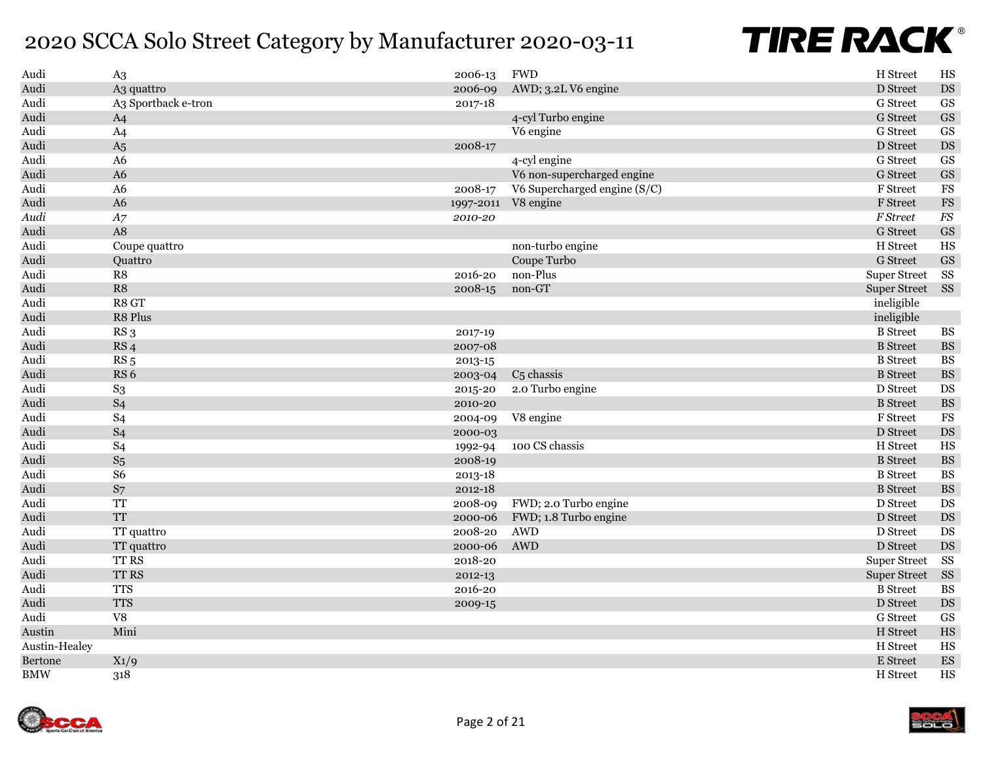| Audi          | A <sub>3</sub>      | 2006-13   | <b>FWD</b>                   | H Street            | HS                       |
|---------------|---------------------|-----------|------------------------------|---------------------|--------------------------|
| Audi          | A3 quattro          | 2006-09   | AWD; 3.2L V6 engine          | D Street            | DS                       |
| Audi          | A3 Sportback e-tron | 2017-18   |                              | G Street            | $\mathbf{G}\mathbf{S}$   |
| Audi          | A <sub>4</sub>      |           | 4-cyl Turbo engine           | <b>G</b> Street     | $\operatorname{GS}$      |
| Audi          | A <sub>4</sub>      |           | V6 engine                    | G Street            | GS                       |
| Audi          | A <sub>5</sub>      | 2008-17   |                              | D Street            | $\mathop{\rm DS}$        |
| Audi          | A <sub>6</sub>      |           | 4-cyl engine                 | G Street            | $\mathbf{G}\mathbf{S}$   |
| Audi          | A6                  |           | V6 non-supercharged engine   | G Street            | $\mathbf{G}\mathbf{S}$   |
| Audi          | A <sub>6</sub>      | 2008-17   | V6 Supercharged engine (S/C) | F Street            | FS                       |
| Audi          | A6                  | 1997-2011 | V8 engine                    | F Street            | $_{\rm FS}$              |
| Audi          | A7                  | 2010-20   |                              | F Street            | $\mathcal{F}\mathcal{S}$ |
| Audi          | A8                  |           |                              | <b>G</b> Street     | $\mathbf{G}\mathbf{S}$   |
| Audi          | Coupe quattro       |           | non-turbo engine             | H Street            | HS                       |
| Audi          | Quattro             |           | Coupe Turbo                  | <b>G</b> Street     | <b>GS</b>                |
| Audi          | R8                  | 2016-20   | non-Plus                     | <b>Super Street</b> | SS                       |
| Audi          | R8                  | 2008-15   | non-GT                       | <b>Super Street</b> | $\rm SS$                 |
| Audi          | R8 GT               |           |                              | ineligible          |                          |
| Audi          | R8 Plus             |           |                              | ineligible          |                          |
| Audi          | RS <sub>3</sub>     | 2017-19   |                              | <b>B</b> Street     | $\mathbf{B}\mathbf{S}$   |
| Audi          | RS <sub>4</sub>     | 2007-08   |                              | <b>B</b> Street     | $\mathbf{B}\mathbf{S}$   |
| Audi          | RS <sub>5</sub>     | 2013-15   |                              | <b>B</b> Street     | <b>BS</b>                |
| Audi          | RS <sub>6</sub>     | 2003-04   | $C5$ chassis                 | <b>B</b> Street     | $\mathbf{B}\mathbf{S}$   |
| Audi          | $S_3$               | 2015-20   | 2.0 Turbo engine             | D Street            | DS                       |
| Audi          | S <sub>4</sub>      | 2010-20   |                              | <b>B</b> Street     | $\mathbf{B}\mathbf{S}$   |
| Audi          | S <sub>4</sub>      | 2004-09   | V8 engine                    | <b>F</b> Street     | FS                       |
| Audi          | S <sub>4</sub>      | 2000-03   |                              | D Street            | $\mathop{\rm DS}$        |
| Audi          | S <sub>4</sub>      | 1992-94   | 100 CS chassis               | H Street            | HS                       |
| Audi          | $S_5$               | 2008-19   |                              | <b>B</b> Street     | $\mathbf{BS}$            |
| Audi          | S <sub>6</sub>      | 2013-18   |                              | <b>B</b> Street     | $\mathbf{B}\mathbf{S}$   |
| Audi          | S7                  | 2012-18   |                              | <b>B</b> Street     | $\mathbf{B}\mathbf{S}$   |
| Audi          | TT                  | 2008-09   | FWD; 2.0 Turbo engine        | D Street            | $\mathop{\rm DS}$        |
| Audi          | <b>TT</b>           | 2000-06   | FWD; 1.8 Turbo engine        | D Street            | $\mathop{\rm DS}$        |
| Audi          | TT quattro          | 2008-20   | <b>AWD</b>                   | D Street            | $\mathbf{D}\mathbf{S}$   |
| Audi          | TT quattro          | 2000-06   | AWD                          | D Street            | $\mathop{\rm DS}$        |
| Audi          | TT RS               | 2018-20   |                              | <b>Super Street</b> | SS                       |
| Audi          | TT RS               | 2012-13   |                              | <b>Super Street</b> | $\rm SS$                 |
| Audi          | <b>TTS</b>          | 2016-20   |                              | <b>B</b> Street     | <b>BS</b>                |
| Audi          | <b>TTS</b>          | 2009-15   |                              | D Street            | $\mathop{\rm DS}$        |
| Audi          | ${\rm V}8$          |           |                              | G Street            | $\mathbf{G}\mathbf{S}$   |
| Austin        | Mini                |           |                              | H Street            | $_{\rm HS}$              |
| Austin-Healey |                     |           |                              | H Street            | HS                       |
| Bertone       | $X_1/9$             |           |                              | E Street            | ${\rm ES}$               |
| <b>BMW</b>    | 318                 |           |                              | H Street            | HS                       |

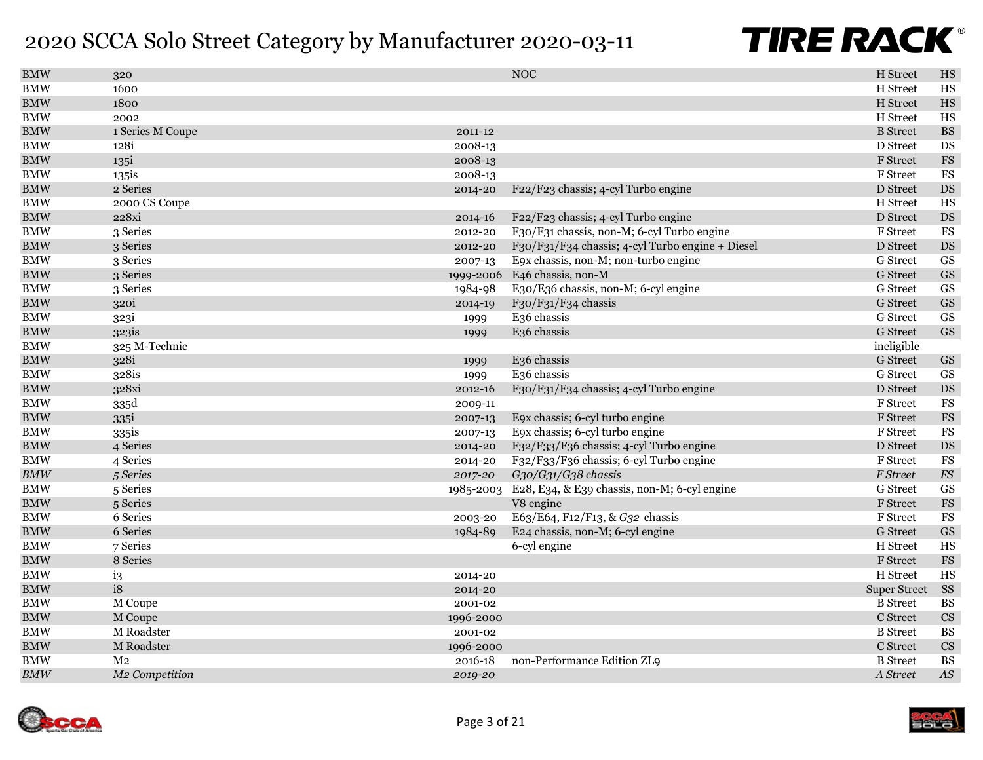| <b>BMW</b> | 320                        |           | <b>NOC</b>                                       | H Street            | HS                     |
|------------|----------------------------|-----------|--------------------------------------------------|---------------------|------------------------|
| BMW        | 1600                       |           |                                                  | H Street            | $_{\rm HS}$            |
| <b>BMW</b> | 1800                       |           |                                                  | H Street            | $_{\rm HS}$            |
| <b>BMW</b> | 2002                       |           |                                                  | H Street            | $_{\rm HS}$            |
| <b>BMW</b> | 1 Series M Coupe           | 2011-12   |                                                  | <b>B</b> Street     | $\mathbf{B}\mathbf{S}$ |
| <b>BMW</b> | 128i                       | 2008-13   |                                                  | D Street            | DS                     |
| <b>BMW</b> | 135i                       | 2008-13   |                                                  | F Street            | $_{\rm FS}$            |
| <b>BMW</b> | 135is                      | 2008-13   |                                                  | F Street            | $_{\rm FS}$            |
| <b>BMW</b> | 2 Series                   | 2014-20   | F22/F23 chassis; 4-cyl Turbo engine              | D Street            | $\mathop{\rm DS}$      |
| <b>BMW</b> | 2000 CS Coupe              |           |                                                  | H Street            | $_{\rm HS}$            |
| <b>BMW</b> | 228xi                      | 2014-16   | F22/F23 chassis; 4-cyl Turbo engine              | D Street            | $\mathop{\rm DS}$      |
| <b>BMW</b> | 3 Series                   | 2012-20   | F30/F31 chassis, non-M; 6-cyl Turbo engine       | F Street            | $_{\rm FS}$            |
| <b>BMW</b> | 3 Series                   | 2012-20   | F30/F31/F34 chassis; 4-cyl Turbo engine + Diesel | D Street            | $\mathop{\rm DS}$      |
| <b>BMW</b> | 3 Series                   | 2007-13   | E9x chassis, non-M; non-turbo engine             | <b>G</b> Street     | GS                     |
| <b>BMW</b> | 3 Series                   | 1999-2006 | E46 chassis, non-M                               | <b>G</b> Street     | $\operatorname{GS}$    |
| <b>BMW</b> | 3 Series                   | 1984-98   | E30/E36 chassis, non-M; 6-cyl engine             | G Street            | GS                     |
| <b>BMW</b> | 320i                       | 2014-19   | F30/F31/F34 chassis                              | <b>G</b> Street     | $\operatorname{GS}$    |
| <b>BMW</b> | 323i                       | 1999      | E <sub>36</sub> chassis                          | G Street            | GS                     |
| <b>BMW</b> | 323is                      | 1999      | E <sub>36</sub> chassis                          | <b>G</b> Street     | GS                     |
| <b>BMW</b> | 325 M-Technic              |           |                                                  | ineligible          |                        |
| <b>BMW</b> | 328i                       | 1999      | E <sub>36</sub> chassis                          | <b>G</b> Street     | $\operatorname{GS}$    |
| <b>BMW</b> | 328is                      | 1999      | E36 chassis                                      | G Street            | GS                     |
| <b>BMW</b> | 328xi                      | 2012-16   | F30/F31/F34 chassis; 4-cyl Turbo engine          | D Street            | $\mathop{\rm DS}$      |
| <b>BMW</b> | 335d                       | 2009-11   |                                                  | F Street            | $_{\rm FS}$            |
| <b>BMW</b> | 335i                       | 2007-13   | E9x chassis; 6-cyl turbo engine                  | F Street            | $_{\rm FS}$            |
| <b>BMW</b> | 335is                      | 2007-13   | E9x chassis; 6-cyl turbo engine                  | F Street            | $_{\rm FS}$            |
| BMW        | 4 Series                   | 2014-20   | F32/F33/F36 chassis; 4-cyl Turbo engine          | D Street            | DS                     |
| <b>BMW</b> | 4 Series                   | 2014-20   | F32/F33/F36 chassis; 6-cyl Turbo engine          | F Street            | $_{\rm FS}$            |
| BMW        | 5 Series                   | 2017-20   | G30/G31/G38 chassis                              | F Street            | ${\cal F}\!{\cal S}$   |
| <b>BMW</b> | 5 Series                   | 1985-2003 | E28, E34, & E39 chassis, non-M; 6-cyl engine     | G Street            | $\operatorname{GS}$    |
| <b>BMW</b> | 5 Series                   |           | V8 engine                                        | F Street            | $_{\rm FS}$            |
| <b>BMW</b> | 6 Series                   | 2003-20   | E63/E64, F12/F13, & G32 chassis                  | F Street            | $_{\rm FS}$            |
| <b>BMW</b> | 6 Series                   | 1984-89   | E24 chassis, non-M; 6-cyl engine                 | G Street            | $\operatorname{GS}$    |
| <b>BMW</b> | 7 Series                   |           | 6-cyl engine                                     | H Street            | <b>HS</b>              |
| <b>BMW</b> | 8 Series                   |           |                                                  | F Street            | $_{\rm FS}$            |
| <b>BMW</b> | i3                         | 2014-20   |                                                  | H Street            | $_{\rm HS}$            |
| <b>BMW</b> | i8                         | 2014-20   |                                                  | <b>Super Street</b> | SS                     |
| BMW        | M Coupe                    | 2001-02   |                                                  | <b>B</b> Street     | $\mathbf{B}\mathbf{S}$ |
| <b>BMW</b> | M Coupe                    | 1996-2000 |                                                  | C Street            | $\mathbf{C}\mathbf{S}$ |
| <b>BMW</b> | M Roadster                 | 2001-02   |                                                  | <b>B</b> Street     | <b>BS</b>              |
| <b>BMW</b> | M Roadster                 | 1996-2000 |                                                  | C Street            | $\mathbf{C}\mathbf{S}$ |
| <b>BMW</b> | M <sub>2</sub>             | 2016-18   | non-Performance Edition ZL9                      | <b>B</b> Street     | <b>BS</b>              |
| BMW        | M <sub>2</sub> Competition | 2019-20   |                                                  | A Street            | $A\mathcal{S}$         |

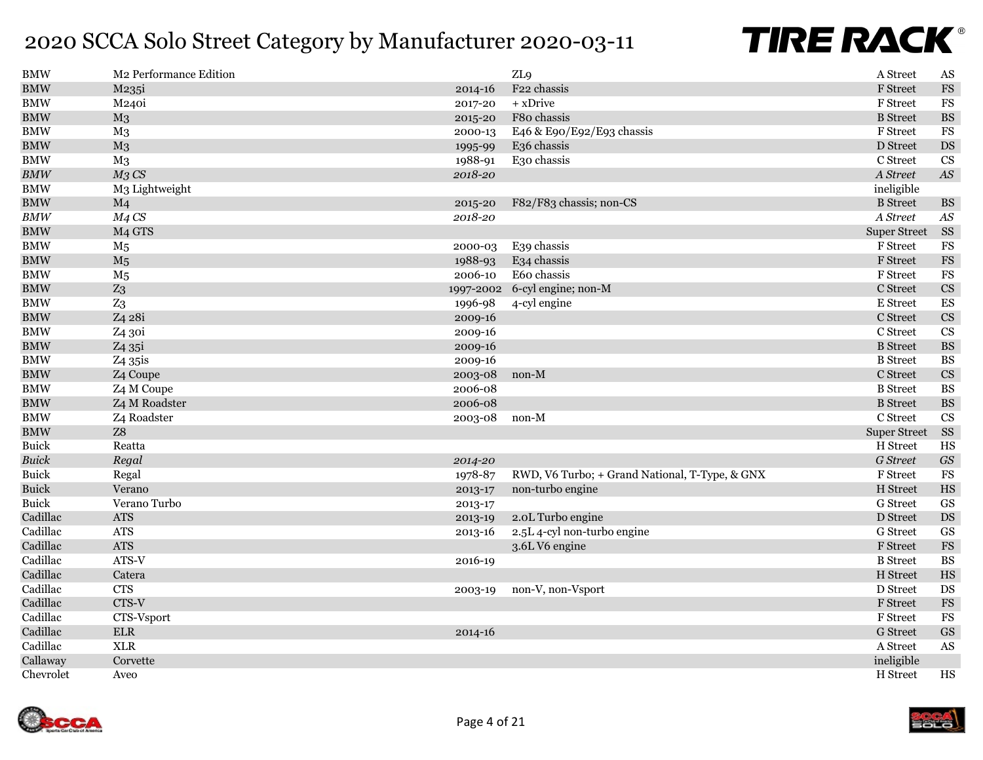| <b>BMW</b>                       | M2 Performance Edition |           | ZL <sub>9</sub>                                | A Street            | $\mathbf{A}\mathbf{S}$         |
|----------------------------------|------------------------|-----------|------------------------------------------------|---------------------|--------------------------------|
| <b>BMW</b>                       | M235i                  | 2014-16   | F22 chassis                                    | F Street            | $_{\rm FS}$                    |
| $\rm_{BMW}$                      | M240i                  | 2017-20   | + xDrive                                       | F Street            | $_{\rm FS}$                    |
| $\rm BMW$                        | M <sub>3</sub>         | 2015-20   | F80 chassis                                    | <b>B</b> Street     | $\mathbf{B}\mathbf{S}$         |
| $\rm_{BMW}$                      | M <sub>3</sub>         | 2000-13   | E46 & E90/E92/E93 chassis                      | F Street            | $_{\rm FS}$                    |
| $\rm BMW$                        | M <sub>3</sub>         | 1995-99   | E36 chassis                                    | D Street            | $\mathbf{D}\mathbf{S}$         |
| $\rm BMW$                        | M <sub>3</sub>         | 1988-91   | E30 chassis                                    | C Street            | $\mathbf{C}\mathbf{S}$         |
| $\ensuremath{\textit{BMW}}$      | $M3$ CS                | 2018-20   |                                                | A Street            | $\boldsymbol{A}\boldsymbol{S}$ |
| $\rm BMW$                        | M3 Lightweight         |           |                                                | ineligible          |                                |
| BMW                              | M <sub>4</sub>         | 2015-20   | F82/F83 chassis; non-CS                        | <b>B</b> Street     | $\mathbf{B}\mathbf{S}$         |
| $\ensuremath{\textit{BMW}}$      | $M4$ CS                | 2018-20   |                                                | A Street            | $A\mathcal{S}$                 |
| <b>BMW</b>                       | M <sub>4</sub> GTS     |           |                                                | <b>Super Street</b> | <b>SS</b>                      |
| <b>BMW</b>                       | $\rm M_5$              | 2000-03   | E39 chassis                                    | F Street            | $_{\rm FS}$                    |
| $\mathbf{B}\mathbf{M}\mathbf{W}$ | M <sub>5</sub>         | 1988-93   | E34 chassis                                    | F Street            | $_{\rm FS}$                    |
| <b>BMW</b>                       | M <sub>5</sub>         | 2006-10   | E60 chassis                                    | F Street            | $_{\rm FS}$                    |
| <b>BMW</b>                       | Z <sub>3</sub>         | 1997-2002 | 6-cyl engine; non-M                            | C Street            | $\mathbf{C}\mathbf{S}$         |
| $\rm BMW$                        | $Z_3$                  | 1996-98   | 4-cyl engine                                   | E Street            | ${\rm ES}$                     |
| $\rm BMW$                        | Z4 28i                 | 2009-16   |                                                | C Street            | $\mathbf{C}\mathbf{S}$         |
| <b>BMW</b>                       | Z4 30i                 | 2009-16   |                                                | C Street            | $\mathbf{C}\mathbf{S}$         |
| $\rm_{BMW}$                      | Z <sub>4</sub> 35i     | 2009-16   |                                                | <b>B</b> Street     | $\mathbf{B}\mathbf{S}$         |
| $\rm BMW$                        | Z <sub>4</sub> 35is    | 2009-16   |                                                | <b>B</b> Street     | <b>BS</b>                      |
| $\rm BMW$                        | Z4 Coupe               | 2003-08   | non-M                                          | C Street            | $\mathbf{C}\mathbf{S}$         |
| <b>BMW</b>                       | Z4 M Coupe             | 2006-08   |                                                | <b>B</b> Street     | <b>BS</b>                      |
| $\rm BMW$                        | Z4 M Roadster          | 2006-08   |                                                | <b>B</b> Street     | $\mathbf{B}\mathbf{S}$         |
| $\rm_{BMW}$                      | Z4 Roadster            | 2003-08   | $non-M$                                        | C Street            | <b>CS</b>                      |
| $\rm BMW$                        | Z8                     |           |                                                | <b>Super Street</b> | <b>SS</b>                      |
| <b>Buick</b>                     | Reatta                 |           |                                                | H Street            | $_{\rm HS}$                    |
| <b>Buick</b>                     | Regal                  | 2014-20   |                                                | G Street            | $\boldsymbol{G\!S}$            |
| <b>Buick</b>                     | Regal                  | 1978-87   | RWD, V6 Turbo; + Grand National, T-Type, & GNX | F Street            | $_{\rm FS}$                    |
| <b>Buick</b>                     | Verano                 | 2013-17   | non-turbo engine                               | H Street            | $_{\rm HS}$                    |
| <b>Buick</b>                     | Verano Turbo           | 2013-17   |                                                | <b>G</b> Street     | $\operatorname{GS}$            |
| Cadillac                         | <b>ATS</b>             | 2013-19   | 2.0L Turbo engine                              | D Street            | $\mathop{\rm DS}$              |
| Cadillac                         | <b>ATS</b>             | 2013-16   | 2.5L 4-cyl non-turbo engine                    | G Street            | $\operatorname{GS}$            |
| Cadillac                         | <b>ATS</b>             |           | 3.6L V6 engine                                 | F Street            | $_{\rm FS}$                    |
| Cadillac                         | ATS-V                  | 2016-19   |                                                | <b>B</b> Street     | <b>BS</b>                      |
| Cadillac                         | Catera                 |           |                                                | H Street            | $_{\rm HS}$                    |
| Cadillac                         | <b>CTS</b>             | 2003-19   | non-V, non-Vsport                              | D Street            | $\mathop{\rm DS}$              |
| Cadillac                         | CTS-V                  |           |                                                | <b>F</b> Street     | $_{\rm FS}$                    |
| Cadillac                         | CTS-Vsport             |           |                                                | F Street            | <b>FS</b>                      |
| Cadillac                         | ${\rm ELR}$            | 2014-16   |                                                | <b>G</b> Street     | $\operatorname{GS}$            |
| Cadillac                         | <b>XLR</b>             |           |                                                | A Street            | AS                             |
| Callaway                         | Corvette               |           |                                                | ineligible          |                                |
| Chevrolet                        | Aveo                   |           |                                                | H Street            | $_{\rm HS}$                    |



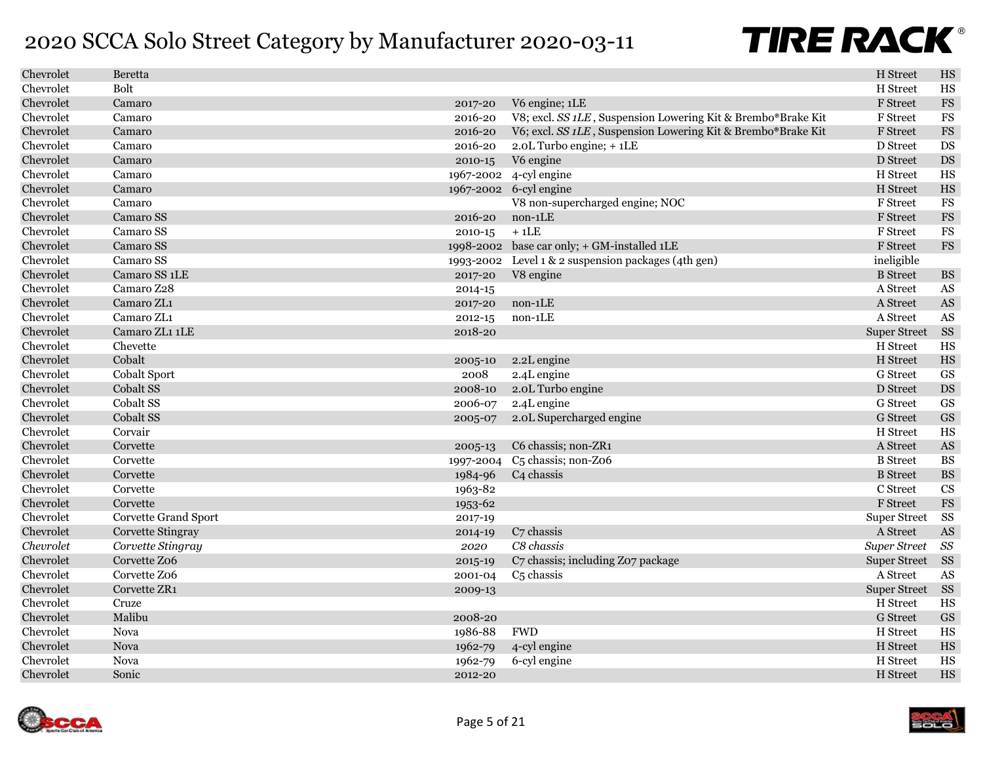| Chevrolet | <b>Beretta</b>            |           |                                                              | H Street            | $_{\rm HS}$            |
|-----------|---------------------------|-----------|--------------------------------------------------------------|---------------------|------------------------|
| Chevrolet | <b>Bolt</b>               |           |                                                              | H Street            | HS                     |
| Chevrolet | Camaro                    | 2017-20   | V6 engine; 1LE                                               | F Street            | <b>FS</b>              |
| Chevrolet | Camaro                    | 2016-20   | V8; excl. SS 1LE, Suspension Lowering Kit & Brembo®Brake Kit | F Street            | FS                     |
| Chevrolet | Camaro                    | 2016-20   | V6; excl. SS 1LE, Suspension Lowering Kit & Brembo®Brake Kit | F Street            | <b>FS</b>              |
| Chevrolet | Camaro                    | 2016-20   | 2.0L Turbo engine; + 1LE                                     | D Street            | DS                     |
| Chevrolet | Camaro                    | 2010-15   | V6 engine                                                    | D Street            | $\mathop{\rm DS}$      |
| Chevrolet | Camaro                    |           | 1967-2002 4-cyl engine                                       | H Street            | $_{\rm HS}$            |
| Chevrolet | Camaro                    |           | 1967-2002 6-cyl engine                                       | H Street            | $_{\rm HS}$            |
| Chevrolet | Camaro                    |           | V8 non-supercharged engine; NOC                              | F Street            | <b>FS</b>              |
| Chevrolet | Camaro SS                 | 2016-20   | non-1LE                                                      | F Street            | <b>FS</b>              |
| Chevrolet | Camaro SS                 | 2010-15   | $+1LE$                                                       | F Street            | FS                     |
| Chevrolet | Camaro SS                 |           | 1998-2002 base car only; + GM-installed 1LE                  | F Street            | <b>FS</b>              |
| Chevrolet | Camaro SS                 |           | 1993-2002 Level 1 & 2 suspension packages (4th gen)          | ineligible          |                        |
| Chevrolet | Camaro SS <sub>1</sub> LE | 2017-20   | V8 engine                                                    | <b>B</b> Street     | $\mathbf{B}\mathbf{S}$ |
| Chevrolet | Camaro Z28                | 2014-15   |                                                              | A Street            | AS                     |
| Chevrolet | Camaro ZL1                | 2017-20   | $non-1LE$                                                    | A Street            | $\mathbf{A}\mathbf{S}$ |
| Chevrolet | Camaro ZL1                | 2012-15   | non-1LE                                                      | A Street            | AS                     |
| Chevrolet | Camaro ZL1 1LE            | 2018-20   |                                                              | <b>Super Street</b> | SS                     |
| Chevrolet | Chevette                  |           |                                                              | H Street            | $_{\rm HS}$            |
| Chevrolet | Cobalt                    | 2005-10   | 2.2L engine                                                  | H Street            | $_{\rm HS}$            |
| Chevrolet | <b>Cobalt Sport</b>       | 2008      | 2.4L engine                                                  | G Street            | $\operatorname{GS}$    |
| Chevrolet | Cobalt SS                 | 2008-10   | 2.0L Turbo engine                                            | D Street            | DS                     |
| Chevrolet | Cobalt SS                 | 2006-07   | 2.4L engine                                                  | G Street            | <b>GS</b>              |
| Chevrolet | Cobalt SS                 | 2005-07   | 2.0L Supercharged engine                                     | <b>G</b> Street     | $\operatorname{GS}$    |
| Chevrolet | Corvair                   |           |                                                              | H Street            | HS                     |
| Chevrolet | Corvette                  | 2005-13   | C6 chassis; non-ZR1                                          | A Street            | $\mathbf{A}\mathbf{S}$ |
| Chevrolet | Corvette                  | 1997-2004 | C <sub>5</sub> chassis; non-Z06                              | <b>B</b> Street     | <b>BS</b>              |
| Chevrolet | Corvette                  | 1984-96   | C <sub>4</sub> chassis                                       | <b>B</b> Street     | $\mathbf{B}\mathbf{S}$ |
| Chevrolet | Corvette                  | 1963-82   |                                                              | C Street            | <b>CS</b>              |
| Chevrolet | Corvette                  | 1953-62   |                                                              | <b>F</b> Street     | $_{\rm FS}$            |
| Chevrolet | Corvette Grand Sport      | 2017-19   |                                                              | <b>Super Street</b> | SS                     |
| Chevrolet | Corvette Stingray         | 2014-19   | C <sub>7</sub> chassis                                       | A Street            | $\mathbf{A}\mathbf{S}$ |
| Chevrolet | Corvette Stingray         | 2020      | C8 chassis                                                   | <b>Super Street</b> | SS                     |
| Chevrolet | Corvette Z06              | 2015-19   | C7 chassis; including Z07 package                            | <b>Super Street</b> | SS                     |
| Chevrolet | Corvette Z06              | 2001-04   | C <sub>5</sub> chassis                                       | A Street            | AS                     |
| Chevrolet | Corvette ZR <sub>1</sub>  | 2009-13   |                                                              | <b>Super Street</b> | <b>SS</b>              |
| Chevrolet | Cruze                     |           |                                                              | H Street            | HS                     |
| Chevrolet | Malibu                    | 2008-20   |                                                              | <b>G</b> Street     | GS                     |
| Chevrolet | Nova                      | 1986-88   | <b>FWD</b>                                                   | H Street            | HS                     |
| Chevrolet | Nova                      | 1962-79   | 4-cyl engine                                                 | H Street            | $_{\rm HS}$            |
| Chevrolet | Nova                      | 1962-79   | 6-cyl engine                                                 | H Street            | HS                     |
| Chevrolet | Sonic                     | 2012-20   |                                                              | H Street            | HS                     |

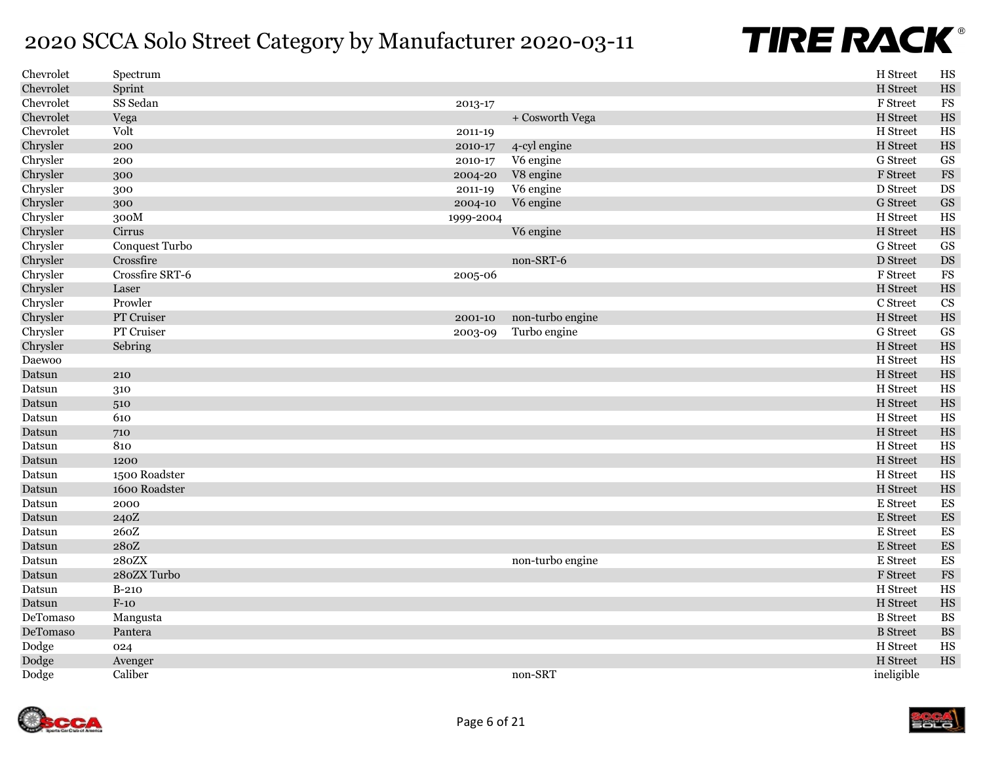| Chevrolet | Spectrum        |           |                  | H Street        | HS                       |
|-----------|-----------------|-----------|------------------|-----------------|--------------------------|
| Chevrolet | Sprint          |           |                  | H Street        | HS                       |
| Chevrolet | SS Sedan        | 2013-17   |                  | F Street        | FS                       |
| Chevrolet | Vega            |           | + Cosworth Vega  | H Street        | HS                       |
| Chevrolet | Volt            | 2011-19   |                  | H Street        | HS                       |
| Chrysler  | 200             | 2010-17   | 4-cyl engine     | H Street        | HS                       |
| Chrysler  | 200             | 2010-17   | V6 engine        | G Street        | GS                       |
| Chrysler  | 300             | 2004-20   | V8 engine        | F Street        | $_{\rm FS}$              |
| Chrysler  | 300             | 2011-19   | V6 engine        | D Street        | DS                       |
| Chrysler  | 300             | 2004-10   | V6 engine        | <b>G</b> Street | <b>GS</b>                |
| Chrysler  | 300M            | 1999-2004 |                  | H Street        | HS                       |
| Chrysler  | Cirrus          |           | V6 engine        | H Street        | HS                       |
| Chrysler  | Conquest Turbo  |           |                  | G Street        | <b>GS</b>                |
| Chrysler  | Crossfire       |           | non-SRT-6        | D Street        | $DS$                     |
| Chrysler  | Crossfire SRT-6 | 2005-06   |                  | F Street        | $_{\rm FS}$              |
| Chrysler  | Laser           |           |                  | H Street        | HS                       |
| Chrysler  | Prowler         |           |                  | C Street        | CS                       |
| Chrysler  | PT Cruiser      | 2001-10   | non-turbo engine | H Street        | HS                       |
| Chrysler  | PT Cruiser      | 2003-09   | Turbo engine     | G Street        | <b>GS</b>                |
| Chrysler  | Sebring         |           |                  | H Street        | HS                       |
| Daewoo    |                 |           |                  | H Street        | HS                       |
| Datsun    | 210             |           |                  | H Street        | HS                       |
| Datsun    | 310             |           |                  | H Street        | HS                       |
| Datsun    | 510             |           |                  | H Street        | HS                       |
| Datsun    | 610             |           |                  | H Street        | HS                       |
| Datsun    | 710             |           |                  | H Street        | HS                       |
| Datsun    | 810             |           |                  | H Street        | HS                       |
| Datsun    | 1200            |           |                  | H Street        | HS                       |
| Datsun    | 1500 Roadster   |           |                  | H Street        | HS                       |
| Datsun    | 1600 Roadster   |           |                  | H Street        | HS                       |
| Datsun    | 2000            |           |                  | E Street        | ES                       |
| Datsun    | 240Z            |           |                  | E Street        | $\mathop{\hbox{\rm ES}}$ |
| Datsun    | 260Z            |           |                  | E Street        | ES                       |
| Datsun    | 280Z            |           |                  | E Street        | $\mathop{\hbox{\rm ES}}$ |
| Datsun    | 280ZX           |           | non-turbo engine | E Street        | $\mathop{\hbox{\rm ES}}$ |
| Datsun    | 280ZX Turbo     |           |                  | F Street        | $_{\rm FS}$              |
| Datsun    | $B-210$         |           |                  | H Street        | HS                       |
| Datsun    | $F-1O$          |           |                  | H Street        | HS                       |
| DeTomaso  | Mangusta        |           |                  | <b>B</b> Street | <b>BS</b>                |
| DeTomaso  | Pantera         |           |                  | <b>B</b> Street | <b>BS</b>                |
| Dodge     | 024             |           |                  | H Street        | HS                       |
| Dodge     | Avenger         |           |                  | H Street        | HS                       |
| Dodge     | Caliber         |           | non-SRT          | ineligible      |                          |

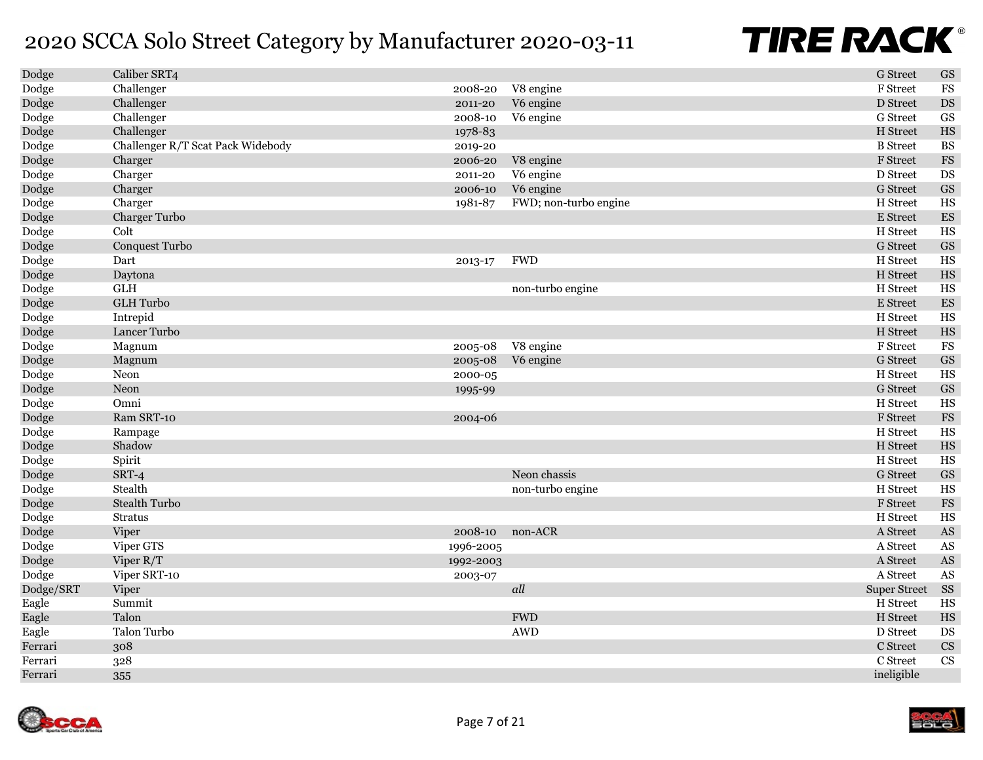| Dodge     | Caliber SRT4                      |           |                       | <b>G</b> Street     | $\operatorname{GS}$      |
|-----------|-----------------------------------|-----------|-----------------------|---------------------|--------------------------|
| Dodge     | Challenger                        | 2008-20   | V8 engine             | F Street            | $_{\rm FS}$              |
| Dodge     | Challenger                        | 2011-20   | V6 engine             | D Street            | $\mathop{\rm DS}$        |
| Dodge     | Challenger                        | 2008-10   | V6 engine             | <b>G</b> Street     | $\mathbf{G}\mathbf{S}$   |
| Dodge     | Challenger                        | 1978-83   |                       | H Street            | $_{\rm HS}$              |
| Dodge     | Challenger R/T Scat Pack Widebody | 2019-20   |                       | <b>B</b> Street     | $\mathbf{B}\mathbf{S}$   |
| Dodge     | Charger                           | 2006-20   | V8 engine             | F Street            | ${\rm FS}$               |
| Dodge     | Charger                           | 2011-20   | V6 engine             | D Street            | DS                       |
| Dodge     | Charger                           | 2006-10   | V6 engine             | <b>G</b> Street     | $\operatorname{GS}$      |
| Dodge     | Charger                           | 1981-87   | FWD; non-turbo engine | H Street            | HS                       |
| Dodge     | Charger Turbo                     |           |                       | E Street            | ${\rm ES}$               |
| Dodge     | Colt                              |           |                       | H Street            | HS                       |
| Dodge     | Conquest Turbo                    |           |                       | <b>G</b> Street     | $\operatorname{GS}$      |
| Dodge     | Dart                              | 2013-17   | <b>FWD</b>            | H Street            | $_{\rm HS}$              |
| Dodge     | Daytona                           |           |                       | H Street            | $_{\rm HS}$              |
| Dodge     | <b>GLH</b>                        |           | non-turbo engine      | H Street            | HS                       |
| Dodge     | <b>GLH</b> Turbo                  |           |                       | E Street            | $\mathop{\hbox{\rm ES}}$ |
| Dodge     | Intrepid                          |           |                       | H Street            | $_{\rm HS}$              |
| Dodge     | Lancer Turbo                      |           |                       | H Street            | $_{\rm HS}$              |
| Dodge     | Magnum                            | 2005-08   | V8 engine             | F Street            | $_{\rm FS}$              |
| Dodge     | Magnum                            | 2005-08   | V6 engine             | <b>G</b> Street     | $\operatorname{GS}$      |
| Dodge     | Neon                              | 2000-05   |                       | H Street            | $_{\rm HS}$              |
| Dodge     | Neon                              | 1995-99   |                       | <b>G</b> Street     | $\operatorname{GS}$      |
| Dodge     | Omni                              |           |                       | H Street            | HS                       |
| Dodge     | Ram SRT-10                        | 2004-06   |                       | F Street            | $_{\rm FS}$              |
| Dodge     | Rampage                           |           |                       | H Street            | HS                       |
| Dodge     | Shadow                            |           |                       | H Street            | $_{\rm HS}$              |
| Dodge     | Spirit                            |           |                       | H Street            | HS                       |
| Dodge     | SRT-4                             |           | Neon chassis          | <b>G</b> Street     | $\operatorname{GS}$      |
| Dodge     | Stealth                           |           | non-turbo engine      | H Street            | HS                       |
| Dodge     | <b>Stealth Turbo</b>              |           |                       | F Street            | $_{\rm FS}$              |
| Dodge     | <b>Stratus</b>                    |           |                       | H Street            | $_{\rm HS}$              |
| Dodge     | Viper                             | 2008-10   | non-ACR               | A Street            | $\mathbf{A}\mathbf{S}$   |
| Dodge     | Viper GTS                         | 1996-2005 |                       | A Street            | $\mathbf{A}\mathbf{S}$   |
| Dodge     | Viper R/T                         | 1992-2003 |                       | A Street            | $\mathbf{A}\mathbf{S}$   |
| Dodge     | Viper SRT-10                      | 2003-07   |                       | A Street            | $\mathbf{A}\mathbf{S}$   |
| Dodge/SRT | Viper                             |           | all                   | <b>Super Street</b> | SS                       |
| Eagle     | Summit                            |           |                       | H Street            | $_{\rm HS}$              |
| Eagle     | Talon                             |           | <b>FWD</b>            | H Street            | $_{\rm HS}$              |
| Eagle     | Talon Turbo                       |           | <b>AWD</b>            | D Street            | $\mathbf{D}\mathbf{S}$   |
| Ferrari   | 308                               |           |                       | C Street            | $\mathbf{C}\mathbf{S}$   |
| Ferrari   | 328                               |           |                       | C Street            | $\overline{\text{CS}}$   |
| Ferrari   | 355                               |           |                       | ineligible          |                          |
|           |                                   |           |                       |                     |                          |

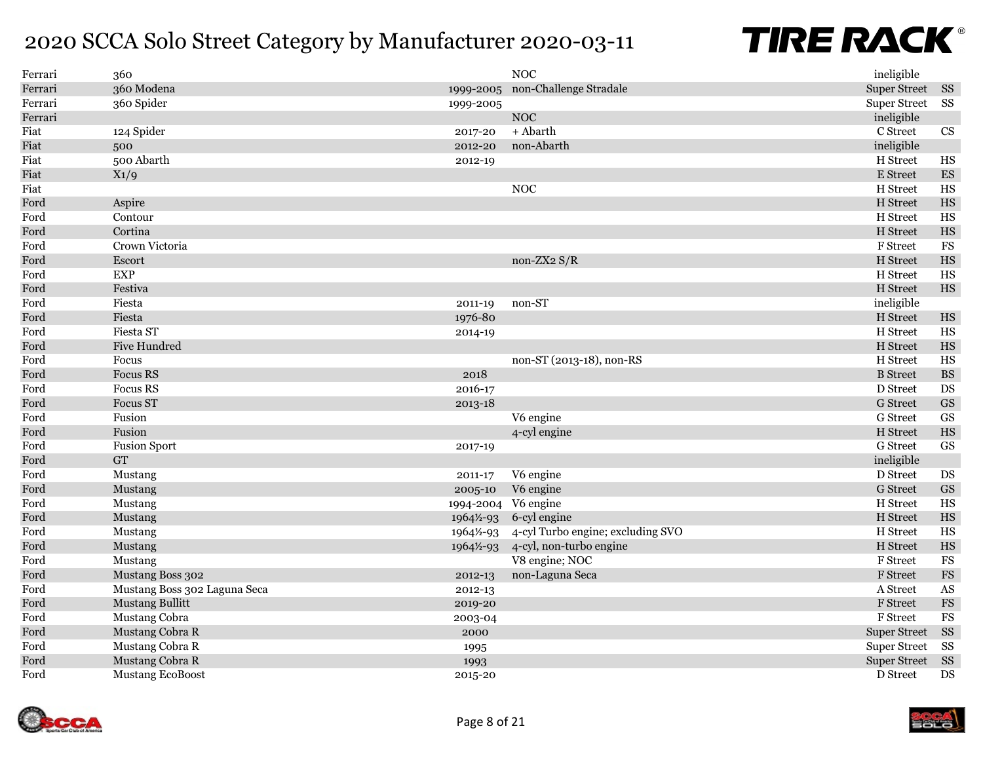| Ferrari | 360                          |           | <b>NOC</b>                        | ineligible          |                          |
|---------|------------------------------|-----------|-----------------------------------|---------------------|--------------------------|
| Ferrari | 360 Modena                   | 1999-2005 | non-Challenge Stradale            | <b>Super Street</b> | SS                       |
| Ferrari | 360 Spider                   | 1999-2005 |                                   | <b>Super Street</b> | SS                       |
| Ferrari |                              |           | $\rm NOC$                         | ineligible          |                          |
| Fiat    | 124 Spider                   | 2017-20   | + Abarth                          | C Street            | $\mathbf{C}\mathbf{S}$   |
| Fiat    | 500                          | 2012-20   | non-Abarth                        | ineligible          |                          |
| Fiat    | 500 Abarth                   | 2012-19   |                                   | H Street            | $_{\rm HS}$              |
| Fiat    | $X_1/9$                      |           |                                   | E Street            | $\mathop{\hbox{\rm ES}}$ |
| Fiat    |                              |           | <b>NOC</b>                        | H Street            | $_{\rm HS}$              |
| Ford    | Aspire                       |           |                                   | H Street            | $_{\rm HS}$              |
| Ford    | Contour                      |           |                                   | H Street            | $_{\rm HS}$              |
| Ford    | Cortina                      |           |                                   | H Street            | $_{\rm HS}$              |
| Ford    | Crown Victoria               |           |                                   | F Street            | $_{\rm FS}$              |
| Ford    | Escort                       |           | non-ZX2 $S/R$                     | H Street            | $_{\rm HS}$              |
| Ford    | <b>EXP</b>                   |           |                                   | H Street            | $_{\rm HS}$              |
| Ford    | Festiva                      |           |                                   | H Street            | $_{\rm HS}$              |
| Ford    | Fiesta                       | 2011-19   | non-ST                            | ineligible          |                          |
| Ford    | Fiesta                       | 1976-80   |                                   | H Street            | $_{\rm HS}$              |
| Ford    | Fiesta ST                    | 2014-19   |                                   | H Street            | $_{\rm HS}$              |
| Ford    | <b>Five Hundred</b>          |           |                                   | H Street            | $_{\rm HS}$              |
| Ford    | Focus                        |           | non-ST (2013-18), non-RS          | H Street            | $_{\rm HS}$              |
| Ford    | <b>Focus RS</b>              | 2018      |                                   | <b>B</b> Street     | $\mathbf{B}\mathbf{S}$   |
| Ford    | <b>Focus RS</b>              | 2016-17   |                                   | D Street            | DS                       |
| Ford    | <b>Focus ST</b>              | 2013-18   |                                   | <b>G</b> Street     | $\operatorname{GS}$      |
| Ford    | Fusion                       |           | V6 engine                         | G Street            | GS                       |
| Ford    | Fusion                       |           | 4-cyl engine                      | H Street            | $_{\rm HS}$              |
| Ford    | <b>Fusion Sport</b>          | 2017-19   |                                   | G Street            | <b>GS</b>                |
| Ford    | ${\rm GT}$                   |           |                                   | ineligible          |                          |
| Ford    | Mustang                      | 2011-17   | V6 engine                         | D Street            | DS                       |
| Ford    | Mustang                      | 2005-10   | V6 engine                         | <b>G</b> Street     | $\operatorname{GS}$      |
| Ford    | Mustang                      | 1994-2004 | V6 engine                         | H Street            | $_{\rm HS}$              |
| Ford    | <b>Mustang</b>               | 1964½-93  | 6-cyl engine                      | H Street            | $_{\rm HS}$              |
| Ford    | Mustang                      | 1964½-93  | 4-cyl Turbo engine; excluding SVO | H Street            | HS                       |
| Ford    | Mustang                      | 1964½-93  | 4-cyl, non-turbo engine           | H Street            | $_{\rm HS}$              |
| Ford    | Mustang                      |           | V8 engine; NOC                    | F Street            | $_{\rm FS}$              |
| Ford    | Mustang Boss 302             | 2012-13   | non-Laguna Seca                   | F Street            | $_{\rm FS}$              |
| Ford    | Mustang Boss 302 Laguna Seca | 2012-13   |                                   | A Street            | $\mathbf{A}\mathbf{S}$   |
| Ford    | <b>Mustang Bullitt</b>       | 2019-20   |                                   | F Street            | $_{\rm FS}$              |
| Ford    | Mustang Cobra                | 2003-04   |                                   | F Street            | $_{\rm FS}$              |
| Ford    | Mustang Cobra R              | 2000      |                                   | <b>Super Street</b> | <b>SS</b>                |
| Ford    | Mustang Cobra R              | 1995      |                                   | <b>Super Street</b> | SS                       |
| Ford    | Mustang Cobra R              | 1993      |                                   | <b>Super Street</b> | SS                       |
| Ford    | <b>Mustang EcoBoost</b>      | 2015-20   |                                   | D Street            | DS                       |
|         |                              |           |                                   |                     |                          |

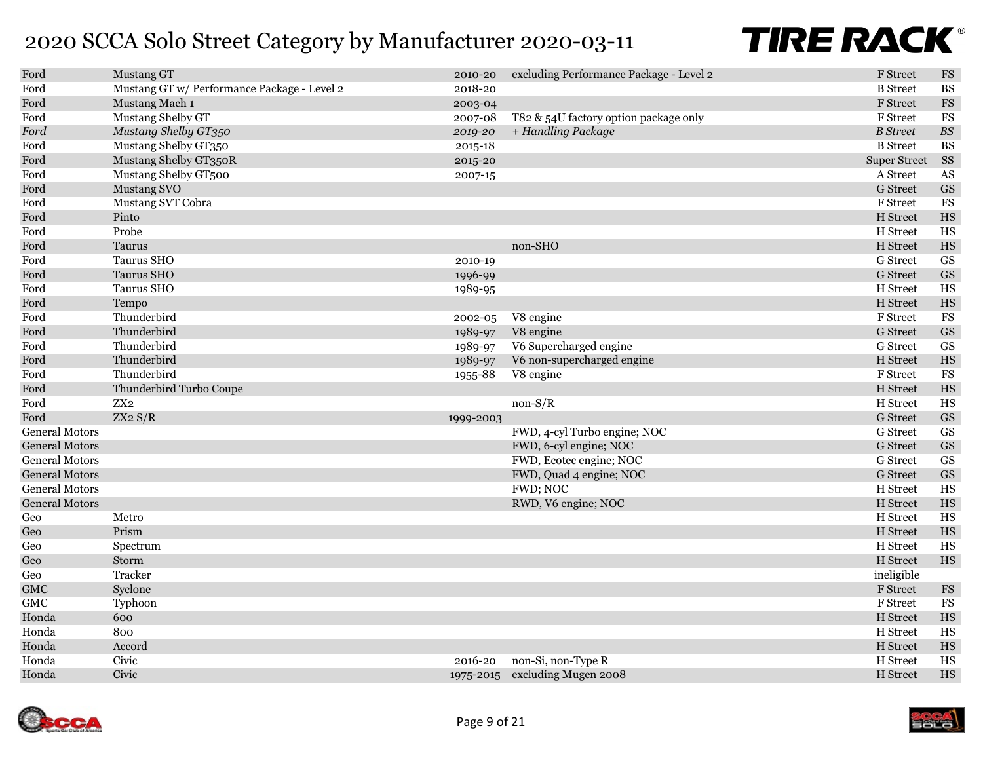| Ford                  | Mustang GT                                  | 2010-20   | excluding Performance Package - Level 2 | F Street            | $\mathop{\mathrm{FS}}$ |
|-----------------------|---------------------------------------------|-----------|-----------------------------------------|---------------------|------------------------|
| Ford                  | Mustang GT w/ Performance Package - Level 2 | 2018-20   |                                         | <b>B</b> Street     | $\mathbf{B}\mathbf{S}$ |
| Ford                  | Mustang Mach 1                              | 2003-04   |                                         | <b>F</b> Street     | $_{\rm FS}$            |
| Ford                  | Mustang Shelby GT                           | 2007-08   | T82 & 54U factory option package only   | F Street            | <b>FS</b>              |
| Ford                  | Mustang Shelby GT350                        | 2019-20   | + Handling Package                      | <b>B</b> Street     | $B\!S$                 |
| Ford                  | Mustang Shelby GT350                        | 2015-18   |                                         | <b>B</b> Street     | <b>BS</b>              |
| Ford                  | Mustang Shelby GT350R                       | 2015-20   |                                         | <b>Super Street</b> | SS                     |
| Ford                  | Mustang Shelby GT500                        | 2007-15   |                                         | A Street            | $\mathbf{A}\mathbf{S}$ |
| Ford                  | Mustang SVO                                 |           |                                         | <b>G</b> Street     | $\operatorname{GS}$    |
| Ford                  | Mustang SVT Cobra                           |           |                                         | F Street            | $_{\rm FS}$            |
| Ford                  | Pinto                                       |           |                                         | H Street            | $_{\rm HS}$            |
| Ford                  | Probe                                       |           |                                         | H Street            | HS                     |
| Ford                  | Taurus                                      |           | non-SHO                                 | H Street            | $_{\rm HS}$            |
| Ford                  | Taurus SHO                                  | 2010-19   |                                         | <b>G</b> Street     | $\mathbf{G}\mathbf{S}$ |
| Ford                  | Taurus SHO                                  | 1996-99   |                                         | <b>G</b> Street     | $\operatorname{GS}$    |
| Ford                  | Taurus SHO                                  | 1989-95   |                                         | H Street            | $_{\rm HS}$            |
| Ford                  | Tempo                                       |           |                                         | H Street            | $_{\rm HS}$            |
| Ford                  | Thunderbird                                 | 2002-05   | V8 engine                               | F Street            | $_{\rm FS}$            |
| Ford                  | Thunderbird                                 | 1989-97   | V8 engine                               | <b>G</b> Street     | $\operatorname{GS}$    |
| Ford                  | Thunderbird                                 | 1989-97   | V6 Supercharged engine                  | G Street            | <b>GS</b>              |
| Ford                  | Thunderbird                                 | 1989-97   | V6 non-supercharged engine              | H Street            | $_{\rm HS}$            |
| Ford                  | Thunderbird                                 | 1955-88   | V8 engine                               | F Street            | $_{\rm FS}$            |
| Ford                  | Thunderbird Turbo Coupe                     |           |                                         | H Street            | $_{\rm HS}$            |
| Ford                  | $\rm ZX2$                                   |           | $non-S/R$                               | H Street            | HS                     |
| Ford                  | ZX2 S/R                                     | 1999-2003 |                                         | <b>G</b> Street     | $\operatorname{GS}$    |
| <b>General Motors</b> |                                             |           | FWD, 4-cyl Turbo engine; NOC            | G Street            | GS                     |
| <b>General Motors</b> |                                             |           | FWD, 6-cyl engine; NOC                  | <b>G</b> Street     | GS                     |
| <b>General Motors</b> |                                             |           | FWD, Ecotec engine; NOC                 | <b>G</b> Street     | $\operatorname{GS}$    |
| <b>General Motors</b> |                                             |           | FWD, Quad 4 engine; NOC                 | <b>G</b> Street     | GS                     |
| <b>General Motors</b> |                                             |           | FWD; NOC                                | H Street            | HS                     |
| <b>General Motors</b> |                                             |           | RWD, V6 engine; NOC                     | H Street            | $_{\rm HS}$            |
| Geo                   | Metro                                       |           |                                         | H Street            | HS                     |
| Geo                   | Prism                                       |           |                                         | H Street            | $_{\rm HS}$            |
| $\rm Geo$             | Spectrum                                    |           |                                         | H Street            | HS                     |
| Geo                   | Storm                                       |           |                                         | H Street            | $_{\rm HS}$            |
| Geo                   | Tracker                                     |           |                                         | ineligible          |                        |
| ${\rm GMC}$           | Syclone                                     |           |                                         | F Street            | $_{\rm FS}$            |
| ${\rm GMC}$           | Typhoon                                     |           |                                         | F Street            | $_{\rm FS}$            |
| Honda                 | 600                                         |           |                                         | H Street            | $_{\rm HS}$            |
| Honda                 | 800                                         |           |                                         | H Street            | HS                     |
| Honda                 | Accord                                      |           |                                         | H Street            | $_{\rm HS}$            |
| Honda                 | Civic                                       | 2016-20   | non-Si, non-Type R                      | H Street            | $_{\rm HS}$            |
| Honda                 | Civic                                       |           | 1975-2015 excluding Mugen 2008          | H Street            | HS                     |

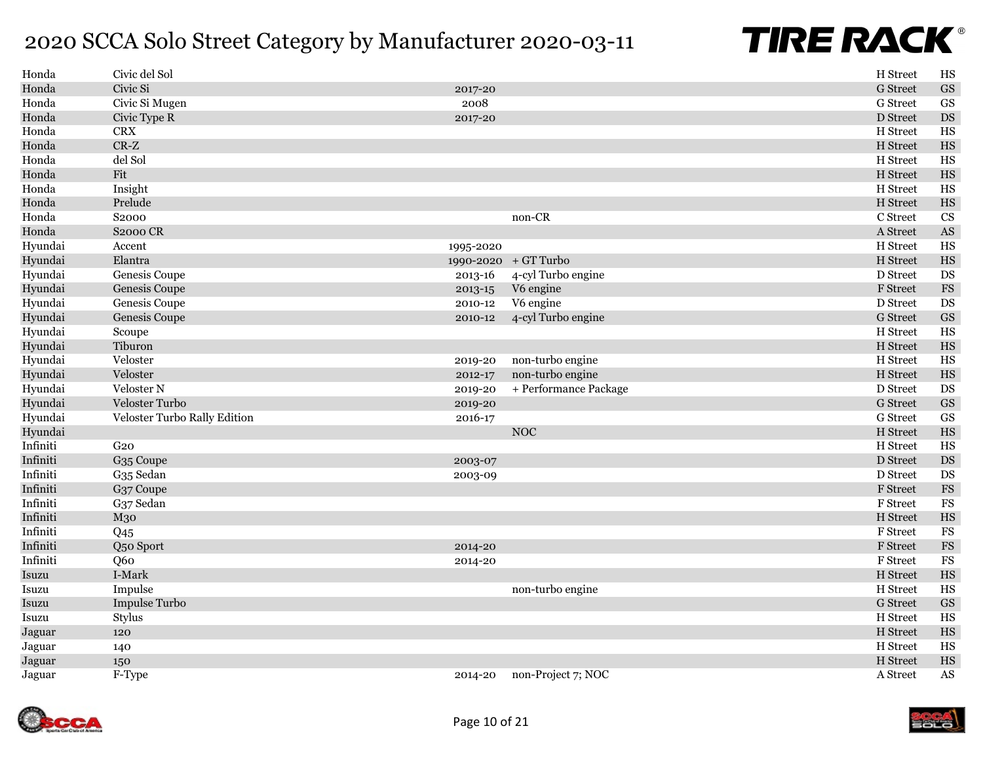| Honda    | Civic del Sol                |           |                       | H Street        | HS                     |
|----------|------------------------------|-----------|-----------------------|-----------------|------------------------|
| Honda    | Civic Si                     | 2017-20   |                       | <b>G</b> Street | $\operatorname{GS}$    |
| Honda    | Civic Si Mugen               | 2008      |                       | G Street        | $\mathbf{G}\mathbf{S}$ |
| Honda    | Civic Type R                 | 2017-20   |                       | D Street        | $\mathop{\rm DS}$      |
| Honda    | <b>CRX</b>                   |           |                       | H Street        | HS                     |
| Honda    | $CR-Z$                       |           |                       | H Street        | $_{\rm HS}$            |
| Honda    | del Sol                      |           |                       | H Street        | $_{\rm HS}$            |
| Honda    | Fit                          |           |                       | H Street        | $_{\rm HS}$            |
| Honda    | Insight                      |           |                       | H Street        | HS                     |
| Honda    | Prelude                      |           |                       | H Street        | $_{\rm HS}$            |
| Honda    | S2000                        |           | non-CR                | C Street        | CS                     |
| Honda    | <b>S2000 CR</b>              |           |                       | A Street        | $\mathbf{A}\mathbf{S}$ |
| Hyundai  | Accent                       | 1995-2020 |                       | H Street        | HS                     |
| Hyundai  | Elantra                      |           | 1990-2020 + GT Turbo  | H Street        | $_{\rm HS}$            |
| Hyundai  | Genesis Coupe                | 2013-16   | 4-cyl Turbo engine    | D Street        | DS                     |
| Hyundai  | Genesis Coupe                | 2013-15   | V6 engine             | <b>F</b> Street | $_{\rm FS}$            |
| Hyundai  | Genesis Coupe                | 2010-12   | V6 engine             | D Street        | <b>DS</b>              |
| Hyundai  | Genesis Coupe                | 2010-12   | 4-cyl Turbo engine    | <b>G</b> Street | <b>GS</b>              |
| Hyundai  | Scoupe                       |           |                       | H Street        | $_{\rm HS}$            |
| Hyundai  | Tiburon                      |           |                       | H Street        | $_{\rm HS}$            |
| Hyundai  | Veloster                     | 2019-20   | non-turbo engine      | H Street        | HS                     |
| Hyundai  | Veloster                     | 2012-17   | non-turbo engine      | H Street        | $_{\rm HS}$            |
| Hyundai  | Veloster N                   | 2019-20   | + Performance Package | D Street        | $\mathop{\rm DS}$      |
| Hyundai  | Veloster Turbo               | 2019-20   |                       | <b>G</b> Street | $\operatorname{GS}$    |
| Hyundai  | Veloster Turbo Rally Edition | 2016-17   |                       | G Street        | $\operatorname{GS}$    |
| Hyundai  |                              |           | <b>NOC</b>            | H Street        | $_{\rm HS}$            |
| Infiniti | G2O                          |           |                       | H Street        | HS                     |
| Infiniti | G <sub>35</sub> Coupe        | 2003-07   |                       | D Street        | $\mathop{\rm DS}$      |
| Infiniti | G <sub>35</sub> Sedan        | 2003-09   |                       | D Street        | $\mathop{\rm DS}$      |
| Infiniti | G37 Coupe                    |           |                       | F Street        | $_{\rm FS}$            |
| Infiniti | G37 Sedan                    |           |                       | F Street        | $_{\rm FS}$            |
| Infiniti | M30                          |           |                       | H Street        | $_{\rm HS}$            |
| Infiniti | Q <sub>45</sub>              |           |                       | F Street        | $_{\rm FS}$            |
| Infiniti | Q50 Sport                    | 2014-20   |                       | F Street        | $_{\rm FS}$            |
| Infiniti | Q <sub>60</sub>              | 2014-20   |                       | F Street        | $_{\rm FS}$            |
| Isuzu    | I-Mark                       |           |                       | H Street        | $_{\rm HS}$            |
| Isuzu    | Impulse                      |           | non-turbo engine      | H Street        | $_{\rm HS}$            |
| Isuzu    | Impulse Turbo                |           |                       | <b>G</b> Street | $\operatorname{GS}$    |
| Isuzu    | Stylus                       |           |                       | H Street        | HS                     |
| Jaguar   | 120                          |           |                       | H Street        | $_{\rm HS}$            |
| Jaguar   | 140                          |           |                       | H Street        | HS                     |
| Jaguar   | 150                          |           |                       | H Street        | $_{\rm HS}$            |
| Jaguar   | F-Type                       | 2014-20   | non-Project 7; NOC    | A Street        | $\mathbf{A}\mathbf{S}$ |

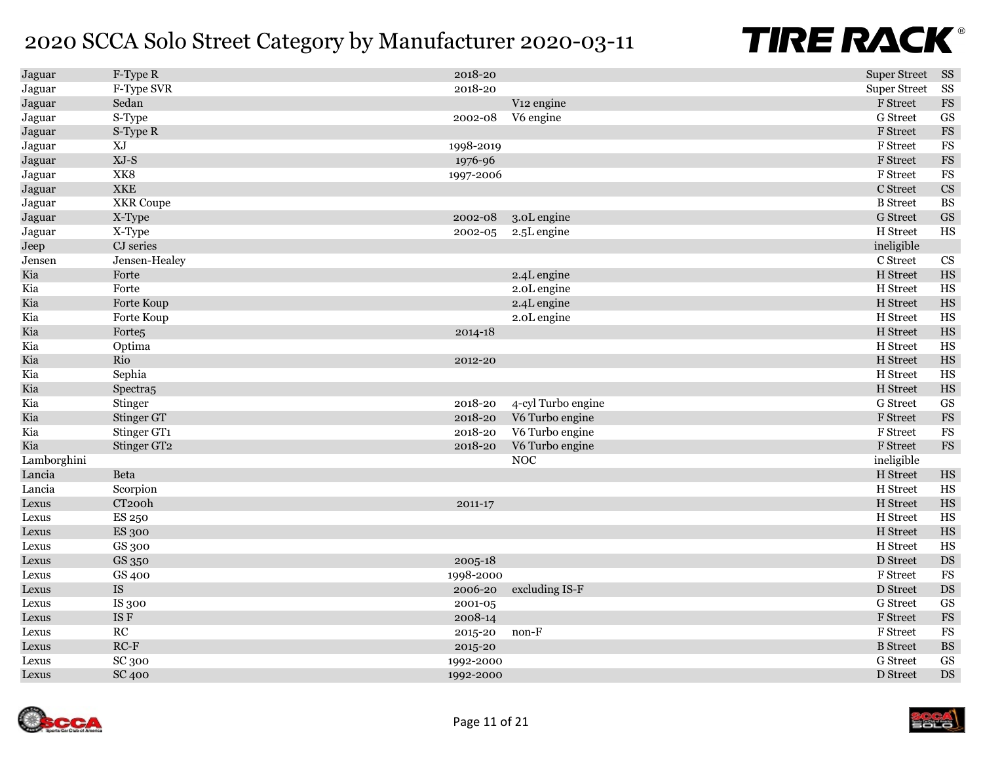| Jaguar      | F-Type R             | 2018-20     |                        | <b>Super Street</b> | SS                     |
|-------------|----------------------|-------------|------------------------|---------------------|------------------------|
| Jaguar      | F-Type SVR           | 2018-20     |                        | <b>Super Street</b> | ${\rm SS}$             |
| Jaguar      | Sedan                |             | V <sub>12</sub> engine | F Street            | $_{\rm FS}$            |
| Jaguar      | S-Type               | 2002-08     | V6 engine              | G Street            | $\operatorname{GS}$    |
| Jaguar      | S-Type R             |             |                        | F Street            | $\mathop{\mathrm{FS}}$ |
| Jaguar      | XJ                   | 1998-2019   |                        | F Street            | $_{\rm FS}$            |
| Jaguar      | $XJ-S$               | 1976-96     |                        | F Street            | $_{\rm FS}$            |
| Jaguar      | XK8                  | 1997-2006   |                        | F Street            | FS                     |
| Jaguar      | <b>XKE</b>           |             |                        | C Street            | $\mathbf{C}\mathbf{S}$ |
| Jaguar      | <b>XKR</b> Coupe     |             |                        | <b>B</b> Street     | $\mathbf{B}\mathbf{S}$ |
| Jaguar      | X-Type               | 2002-08     | 3.0L engine            | <b>G</b> Street     | $\mathbf{G}\mathbf{S}$ |
| Jaguar      | X-Type               | 2002-05     | 2.5L engine            | H Street            | HS                     |
| Jeep        | CJ series            |             |                        | ineligible          |                        |
| Jensen      | Jensen-Healey        |             |                        | C Street            | CS                     |
| Kia         | Forte                |             | 2.4L engine            | H Street            | $_{\rm HS}$            |
| Kia         | Forte                |             | 2.0L engine            | H Street            | $_{\rm HS}$            |
| Kia         | Forte Koup           |             | 2.4L engine            | H Street            | $_{\rm HS}$            |
| Kia         | Forte Koup           |             | 2.0L engine            | H Street            | $_{\rm HS}$            |
| Kia         | Forte <sub>5</sub>   | $2014 - 18$ |                        | H Street            | $_{\rm HS}$            |
| Kia         | Optima               |             |                        | H Street            | $_{\rm HS}$            |
| Kia         | Rio                  | 2012-20     |                        | H Street            | $_{\rm HS}$            |
| Kia         | Sephia               |             |                        | H Street            | $_{\rm HS}$            |
| Kia         | Spectra <sub>5</sub> |             |                        | H Street            | $_{\rm HS}$            |
| Kia         | Stinger              | 2018-20     | 4-cyl Turbo engine     | G Street            | GS                     |
| Kia         | Stinger GT           | 2018-20     | V6 Turbo engine        | F Street            | $_{\rm FS}$            |
| Kia         | Stinger GT1          | 2018-20     | V6 Turbo engine        | <b>F</b> Street     | $_{\rm FS}$            |
| Kia         | Stinger GT2          | 2018-20     | V6 Turbo engine        | F Street            | $_{\rm FS}$            |
| Lamborghini |                      |             | <b>NOC</b>             | ineligible          |                        |
| Lancia      | Beta                 |             |                        | H Street            | $_{\rm HS}$            |
| Lancia      | Scorpion             |             |                        | H Street            | $_{\rm HS}$            |
| Lexus       | CT <sub>200</sub> h  | 2011-17     |                        | H Street            | $_{\rm HS}$            |
| Lexus       | ES 250               |             |                        | H Street            | $_{\rm HS}$            |
| Lexus       | <b>ES 300</b>        |             |                        | H Street            | $_{\rm HS}$            |
| Lexus       | GS 300               |             |                        | H Street            | HS                     |
| Lexus       | GS 350               | 2005-18     |                        | D Street            | $\mathbf{D}\mathbf{S}$ |
| Lexus       | GS 400               | 1998-2000   |                        | F Street            | $_{\rm FS}$            |
| Lexus       | IS                   | 2006-20     | excluding IS-F         | D Street            | DS                     |
| Lexus       | IS 300               | 2001-05     |                        | G Street            | GS                     |
| Lexus       | IS F                 | 2008-14     |                        | F Street            | $_{\rm FS}$            |
| Lexus       | RC                   | 2015-20     | non-F                  | F Street            | $_{\rm FS}$            |
| Lexus       | $RC-F$               | 2015-20     |                        | <b>B</b> Street     | $\mathbf{B}\mathbf{S}$ |
| Lexus       | SC 300               | 1992-2000   |                        | G Street            | GS                     |
| Lexus       | <b>SC 400</b>        | 1992-2000   |                        | D Street            | $\mathop{\rm DS}$      |



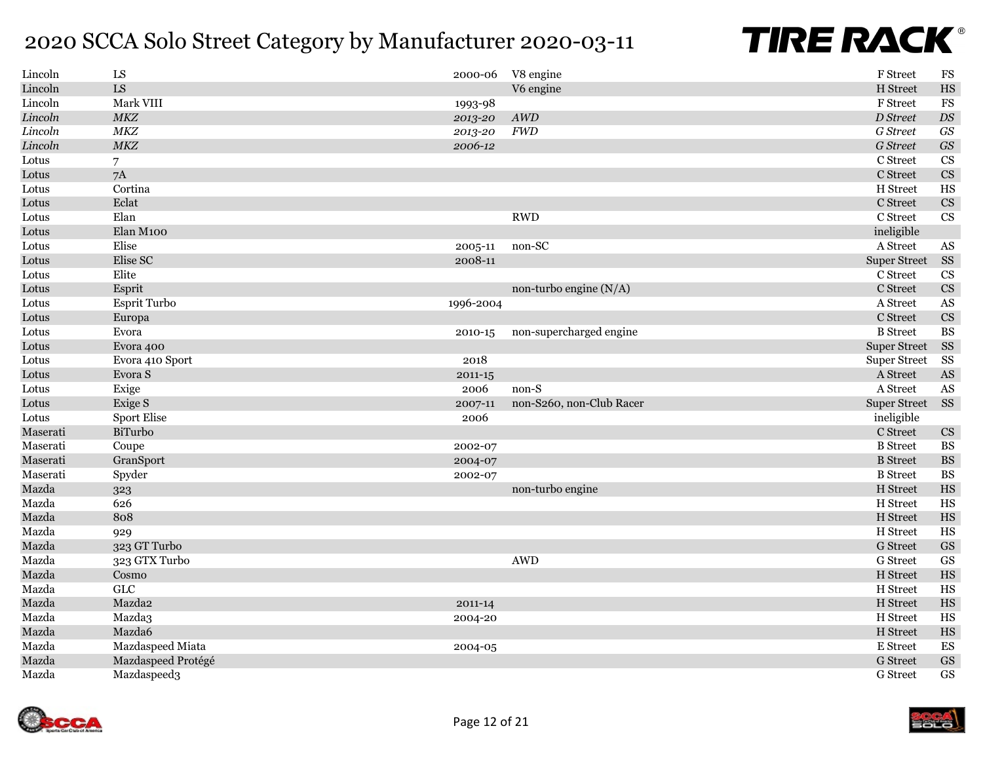| Lincoln  | ${\rm LS}$         | 2000-06     | V8 engine                | F Street            | $_{\rm FS}$                    |
|----------|--------------------|-------------|--------------------------|---------------------|--------------------------------|
| Lincoln  | ${\rm LS}$         |             | V6 engine                | H Street            | $_{\rm HS}$                    |
| Lincoln  | Mark VIII          | 1993-98     |                          | F Street            | $_{\rm FS}$                    |
| Lincoln  | MKZ                | 2013-20     | $\mathcal{A}W\!D$        | D Street            | $\mathbb{D}S$                  |
| Lincoln  | $M\!K\!Z$          | 2013-20     | <b>FWD</b>               | G Street            | $\boldsymbol{G}\boldsymbol{S}$ |
| Lincoln  | MKZ                | 2006-12     |                          | G Street            | $\boldsymbol{G}\boldsymbol{S}$ |
| Lotus    | $\overline{7}$     |             |                          | C Street            | $\mathbf{C}\mathbf{S}$         |
| Lotus    | 7A                 |             |                          | C Street            | CS                             |
| Lotus    | Cortina            |             |                          | H Street            | HS                             |
| Lotus    | Eclat              |             |                          | C Street            | CS                             |
| Lotus    | Elan               |             | <b>RWD</b>               | C Street            | CS                             |
| Lotus    | Elan M100          |             |                          | ineligible          |                                |
| Lotus    | Elise              | 2005-11     | non-SC                   | A Street            | AS                             |
| Lotus    | Elise SC           | 2008-11     |                          | <b>Super Street</b> | <b>SS</b>                      |
| Lotus    | Elite              |             |                          | C Street            | $\mathbf{C}\mathbf{S}$         |
| Lotus    | Esprit             |             | non-turbo engine $(N/A)$ | C Street            | $\mathbf{C}\mathbf{S}$         |
| Lotus    | Esprit Turbo       | 1996-2004   |                          | A Street            | $\mathbf{A}\mathbf{S}$         |
| Lotus    | Europa             |             |                          | C Street            | $\mathbf{C}\mathbf{S}$         |
| Lotus    | Evora              | 2010-15     | non-supercharged engine  | <b>B</b> Street     | <b>BS</b>                      |
| Lotus    | Evora 400          |             |                          | <b>Super Street</b> | SS                             |
| Lotus    | Evora 410 Sport    | 2018        |                          | <b>Super Street</b> | SS                             |
| Lotus    | Evora ${\bf S}$    | $2011 - 15$ |                          | A Street            | $\mathbf{A}\mathbf{S}$         |
| Lotus    | Exige              | 2006        | non-S                    | A Street            | AS                             |
| Lotus    | Exige S            | 2007-11     | non-S260, non-Club Racer | <b>Super Street</b> | SS                             |
| Lotus    | <b>Sport Elise</b> | 2006        |                          | ineligible          |                                |
| Maserati | BiTurbo            |             |                          | C Street            | $\mathbf{C}\mathbf{S}$         |
| Maserati | Coupe              | 2002-07     |                          | <b>B</b> Street     | <b>BS</b>                      |
| Maserati | GranSport          | 2004-07     |                          | <b>B</b> Street     | $\mathbf{B}\mathbf{S}$         |
| Maserati | Spyder             | 2002-07     |                          | <b>B</b> Street     | <b>BS</b>                      |
| Mazda    | 323                |             | non-turbo engine         | H Street            | $_{\rm HS}$                    |
| Mazda    | 626                |             |                          | H Street            | $_{\rm HS}$                    |
| Mazda    | 808                |             |                          | H Street            | $_{\rm HS}$                    |
| Mazda    | 929                |             |                          | H Street            | HS                             |
| Mazda    | 323 GT Turbo       |             |                          | <b>G</b> Street     | $\operatorname{GS}$            |
| Mazda    | 323 GTX Turbo      |             | <b>AWD</b>               | G Street            | GS                             |
| Mazda    | Cosmo              |             |                          | H Street            | $_{\rm HS}$                    |
| Mazda    | ${\rm GLC}$        |             |                          | H Street            | $_{\rm HS}$                    |
| Mazda    | Mazda2             | 2011-14     |                          | H Street            | $_{\rm HS}$                    |
| Mazda    | Mazda3             | 2004-20     |                          | H Street            | HS                             |
| Mazda    | Mazda6             |             |                          | H Street            | $_{\rm HS}$                    |
| Mazda    | Mazdaspeed Miata   | 2004-05     |                          | E Street            | ${\rm ES}$                     |
| Mazda    | Mazdaspeed Protégé |             |                          | <b>G</b> Street     | $\operatorname{GS}$            |
| Mazda    | Mazdaspeed3        |             |                          | G Street            | $\operatorname{GS}$            |

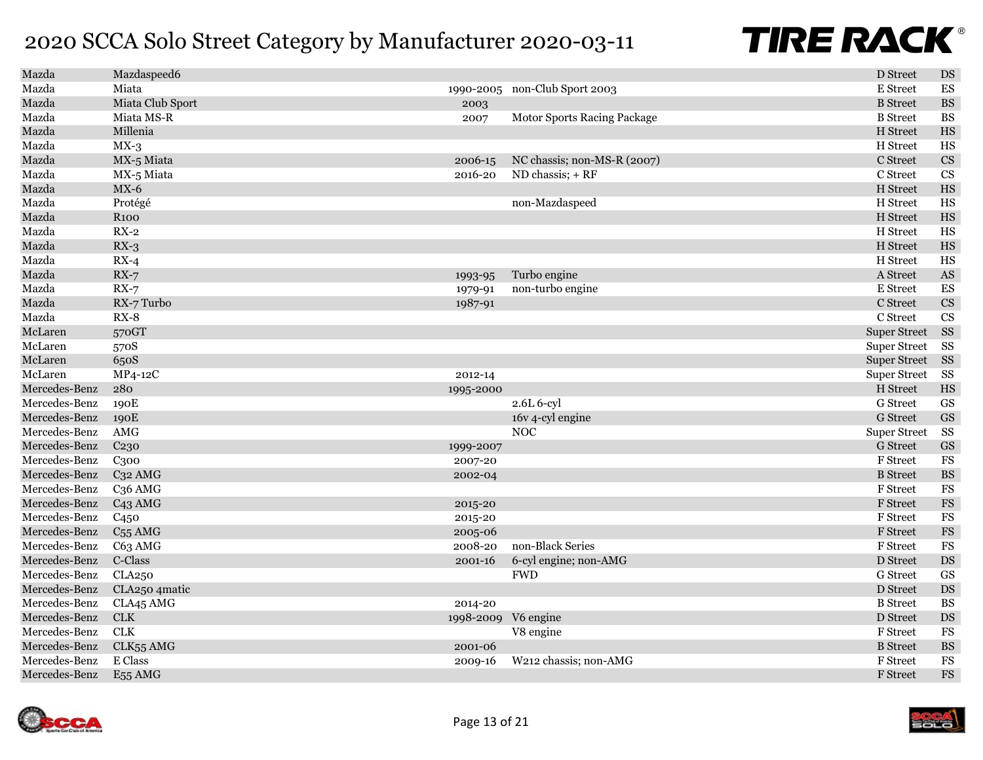| Mazda         | Mazdaspeed6         |                     |                               | D Street            | DS                     |
|---------------|---------------------|---------------------|-------------------------------|---------------------|------------------------|
| Mazda         | Miata               |                     | 1990-2005 non-Club Sport 2003 | E Street            | ES                     |
| Mazda         | Miata Club Sport    | 2003                |                               | <b>B</b> Street     | $\mathbf{BS}$          |
| Mazda         | Miata MS-R          | 2007                | Motor Sports Racing Package   | <b>B</b> Street     | $_{\rm BS}$            |
| Mazda         | Millenia            |                     |                               | H Street            | $_{\rm HS}$            |
| Mazda         | $MX-3$              |                     |                               | H Street            | $_{\rm HS}$            |
| Mazda         | MX-5 Miata          | 2006-15             | NC chassis; non-MS-R $(2007)$ | C Street            | $\mathbf{C}\mathbf{S}$ |
| Mazda         | MX-5 Miata          | 2016-20             | ND chassis; + RF              | C Street            | CS                     |
| Mazda         | $MX-6$              |                     |                               | H Street            | $_{\rm HS}$            |
| Mazda         | Protégé             |                     | non-Mazdaspeed                | H Street            | $_{\rm HS}$            |
| Mazda         | <b>R100</b>         |                     |                               | H Street            | $_{\rm HS}$            |
| Mazda         | $RX-2$              |                     |                               | H Street            | $_{\rm HS}$            |
| Mazda         | $RX-3$              |                     |                               | H Street            | $_{\rm HS}$            |
| Mazda         | $RX-4$              |                     |                               | H Street            | $_{\rm HS}$            |
| Mazda         | $RX-7$              | 1993-95             | Turbo engine                  | A Street            | $\mathbf{A}\mathbf{S}$ |
| Mazda         | $RX-7$              | 1979-91             | non-turbo engine              | E Street            | ES                     |
| Mazda         | RX-7 Turbo          | 1987-91             |                               | C Street            | CS                     |
| Mazda         | $RX-8$              |                     |                               | C Street            | $\overline{\text{CS}}$ |
| McLaren       | 570GT               |                     |                               | <b>Super Street</b> | SS                     |
| McLaren       | 570S                |                     |                               | <b>Super Street</b> | SS                     |
| McLaren       | 650S                |                     |                               | <b>Super Street</b> | SS                     |
| McLaren       | MP4-12C             | 2012-14             |                               | <b>Super Street</b> | SS                     |
| Mercedes-Benz | 280                 | 1995-2000           |                               | H Street            | $_{\rm HS}$            |
| Mercedes-Benz | 190E                |                     | 2.6L 6-cyl                    | <b>G</b> Street     | <b>GS</b>              |
| Mercedes-Benz | 190E                |                     | 16v 4-cyl engine              | <b>G</b> Street     | GS                     |
| Mercedes-Benz | AMG                 |                     | <b>NOC</b>                    | <b>Super Street</b> | SS                     |
| Mercedes-Benz | C <sub>230</sub>    | 1999-2007           |                               | <b>G</b> Street     | $\mathbf{G}\mathbf{S}$ |
| Mercedes-Benz | C <sub>300</sub>    | 2007-20             |                               | F Street            | FS                     |
| Mercedes-Benz | C <sub>32</sub> AMG | 2002-04             |                               | <b>B</b> Street     | $\mathbf{B}\mathbf{S}$ |
| Mercedes-Benz | C <sub>36</sub> AMG |                     |                               | F Street            | FS                     |
| Mercedes-Benz | C <sub>43</sub> AMG | 2015-20             |                               | <b>F</b> Street     | $_{\rm FS}$            |
| Mercedes-Benz | C450                | 2015-20             |                               | <b>F</b> Street     | $_{\rm FS}$            |
| Mercedes-Benz | $C55$ AMG           | 2005-06             |                               | F Street            | $_{\rm FS}$            |
| Mercedes-Benz | C63 AMG             | 2008-20             | non-Black Series              | F Street            | FS                     |
| Mercedes-Benz | C-Class             | 2001-16             | 6-cyl engine; non-AMG         | D Street            | DS                     |
| Mercedes-Benz | CLA250              |                     | <b>FWD</b>                    | G Street            | GS                     |
| Mercedes-Benz | CLA250 4matic       |                     |                               | D Street            | DS                     |
| Mercedes-Benz | CLA45 AMG           | 2014-20             |                               | <b>B</b> Street     | <b>BS</b>              |
| Mercedes-Benz | <b>CLK</b>          | 1998-2009 V6 engine |                               | D Street            | DS                     |
| Mercedes-Benz | CLK                 |                     | V8 engine                     | F Street            | $_{\rm FS}$            |
| Mercedes-Benz | CLK55 AMG           | 2001-06             |                               | <b>B</b> Street     | $\mathbf{B}\mathbf{S}$ |
| Mercedes-Benz | E Class             | 2009-16             | W212 chassis; non-AMG         | F Street            | $_{\rm FS}$            |
| Mercedes-Benz | E <sub>55</sub> AMG |                     |                               | <b>F</b> Street     | $\mathop{\mathrm{FS}}$ |

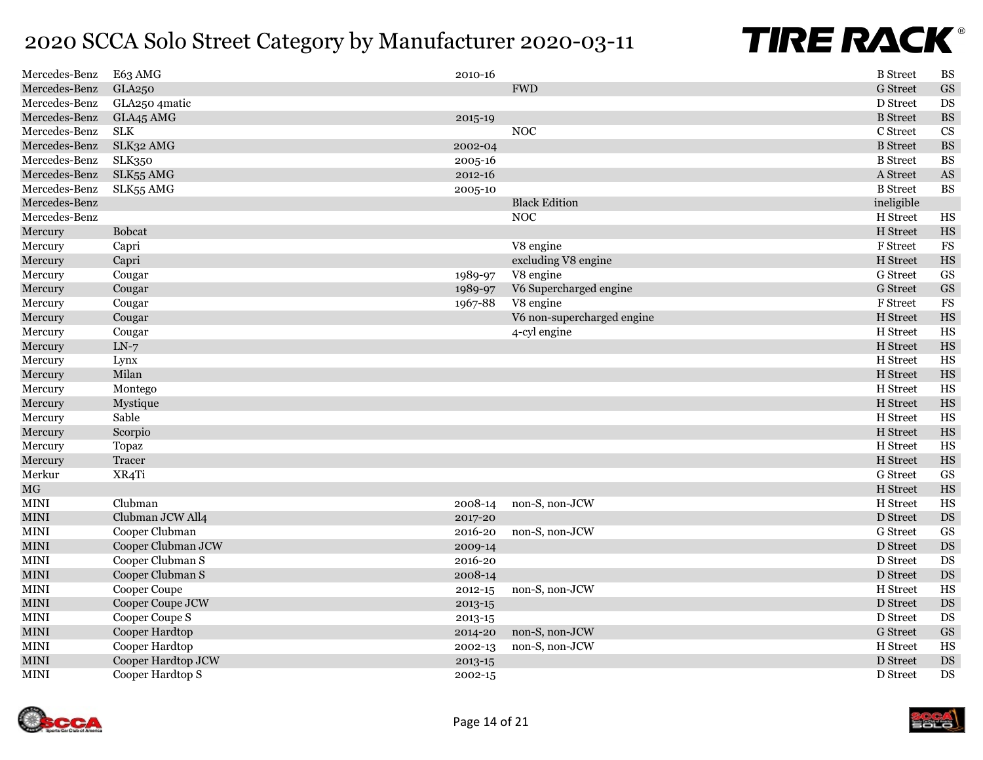| Mercedes-Benz | E63 AMG            | 2010-16     |                            | <b>B</b> Street | <b>BS</b>              |
|---------------|--------------------|-------------|----------------------------|-----------------|------------------------|
| Mercedes-Benz | GLA250             |             | <b>FWD</b>                 | <b>G</b> Street | $\operatorname{GS}$    |
| Mercedes-Benz | GLA250 4matic      |             |                            | D Street        | DS                     |
| Mercedes-Benz | GLA45 AMG          | 2015-19     |                            | <b>B</b> Street | $\mathbf{B}\mathbf{S}$ |
| Mercedes-Benz | <b>SLK</b>         |             | <b>NOC</b>                 | C Street        | <b>CS</b>              |
| Mercedes-Benz | SLK32 AMG          | 2002-04     |                            | <b>B</b> Street | $\mathbf{B}\mathbf{S}$ |
| Mercedes-Benz | <b>SLK350</b>      | 2005-16     |                            | <b>B</b> Street | <b>BS</b>              |
| Mercedes-Benz | SLK55 AMG          | 2012-16     |                            | A Street        | $\mathbf{A}\mathbf{S}$ |
| Mercedes-Benz | SLK55 AMG          | 2005-10     |                            | <b>B</b> Street | <b>BS</b>              |
| Mercedes-Benz |                    |             | <b>Black Edition</b>       | ineligible      |                        |
| Mercedes-Benz |                    |             | <b>NOC</b>                 | H Street        | HS                     |
| Mercury       | <b>Bobcat</b>      |             |                            | H Street        | $_{\rm HS}$            |
| Mercury       | Capri              |             | V8 engine                  | F Street        | <b>FS</b>              |
| Mercury       | Capri              |             | excluding V8 engine        | H Street        | $_{\rm HS}$            |
| Mercury       | Cougar             | 1989-97     | V8 engine                  | G Street        | GS                     |
| Mercury       | Cougar             | 1989-97     | V6 Supercharged engine     | <b>G</b> Street | $\operatorname{GS}$    |
| Mercury       | Cougar             | 1967-88     | V8 engine                  | F Street        | <b>FS</b>              |
| Mercury       | Cougar             |             | V6 non-supercharged engine | H Street        | $_{\rm HS}$            |
| Mercury       | Cougar             |             | 4-cyl engine               | H Street        | $_{\rm HS}$            |
| Mercury       | $LN-7$             |             |                            | H Street        | $_{\rm HS}$            |
| Mercury       | Lynx               |             |                            | H Street        | $_{\rm HS}$            |
| Mercury       | Milan              |             |                            | H Street        | $_{\rm HS}$            |
| Mercury       | Montego            |             |                            | H Street        | $_{\rm HS}$            |
| Mercury       | Mystique           |             |                            | H Street        | $_{\rm HS}$            |
| Mercury       | Sable              |             |                            | H Street        | $_{\rm HS}$            |
| Mercury       | Scorpio            |             |                            | H Street        | $_{\rm HS}$            |
| Mercury       | Topaz              |             |                            | H Street        | $_{\rm HS}$            |
| Mercury       | Tracer             |             |                            | H Street        | $_{\rm HS}$            |
| Merkur        | XR4Ti              |             |                            | G Street        | GS                     |
| <b>MG</b>     |                    |             |                            | H Street        | $_{\rm HS}$            |
| <b>MINI</b>   | Clubman            | 2008-14     | non-S, non-JCW             | H Street        | $_{\rm HS}$            |
| <b>MINI</b>   | Clubman JCW All4   | 2017-20     |                            | D Street        | DS                     |
| <b>MINI</b>   | Cooper Clubman     | 2016-20     | non-S, non-JCW             | <b>G</b> Street | GS                     |
| <b>MINI</b>   | Cooper Clubman JCW | 2009-14     |                            | D Street        | DS                     |
| <b>MINI</b>   | Cooper Clubman S   | 2016-20     |                            | D Street        | DS                     |
| <b>MINI</b>   | Cooper Clubman S   | 2008-14     |                            | D Street        | DS                     |
| <b>MINI</b>   | Cooper Coupe       | $2012 - 15$ | non-S, non-JCW             | H Street        | $_{\rm HS}$            |
| $\mbox{MINI}$ | Cooper Coupe JCW   | 2013-15     |                            | D Street        | DS                     |
| <b>MINI</b>   | Cooper Coupe S     | 2013-15     |                            | D Street        | DS                     |
| <b>MINI</b>   | Cooper Hardtop     | 2014-20     | non-S, non-JCW             | <b>G</b> Street | GS                     |
| <b>MINI</b>   | Cooper Hardtop     | 2002-13     | non-S, non-JCW             | H Street        | HS                     |
| <b>MINI</b>   | Cooper Hardtop JCW | 2013-15     |                            | D Street        | DS                     |
| <b>MINI</b>   | Cooper Hardtop S   | 2002-15     |                            | D Street        | DS                     |

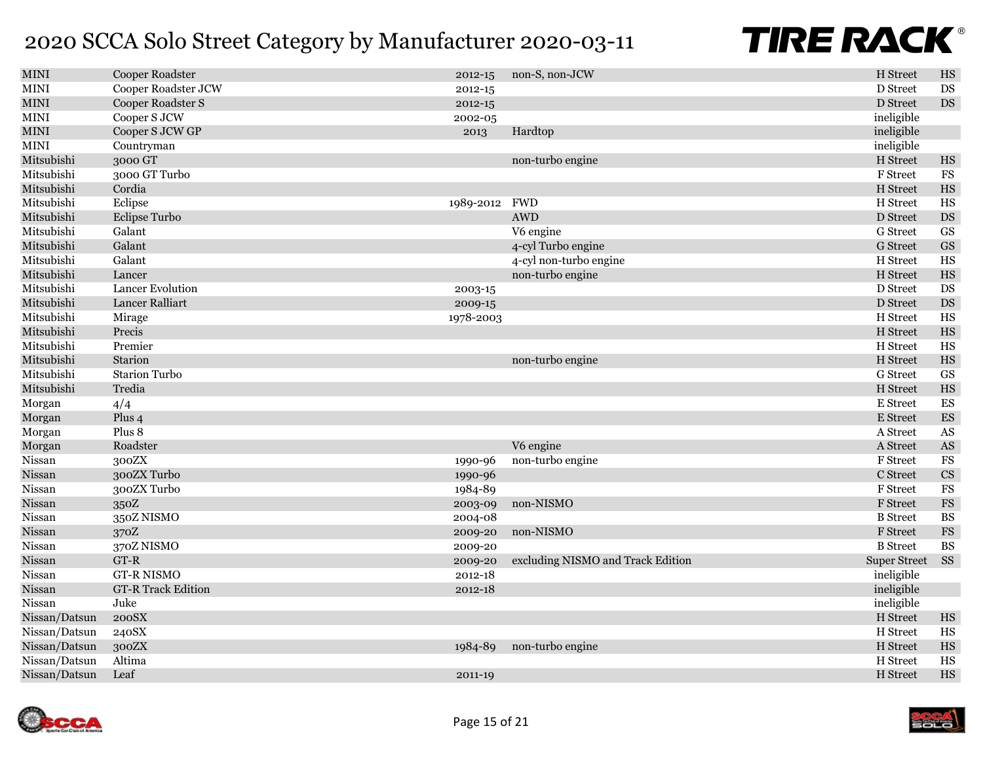| <b>MINI</b>           | Cooper Roadster         | 2012-15       | non-S, non-JCW                    | H Street            | HS                       |
|-----------------------|-------------------------|---------------|-----------------------------------|---------------------|--------------------------|
| <b>MINI</b>           | Cooper Roadster JCW     | $2012 - 15$   |                                   | D Street            | DS                       |
| $\mbox{MINI}$         | Cooper Roadster S       | 2012-15       |                                   | D Street            | $\mathop{\rm DS}$        |
| $\operatorname{MINI}$ | Cooper S JCW            | 2002-05       |                                   | ineligible          |                          |
| $\mbox{MINI}$         | Cooper S JCW GP         | 2013          | Hardtop                           | ineligible          |                          |
| $\mbox{MINI}$         | Countryman              |               |                                   | ineligible          |                          |
| Mitsubishi            | 3000 GT                 |               | non-turbo engine                  | H Street            | HS                       |
| Mitsubishi            | 3000 GT Turbo           |               |                                   | F Street            | $_{\rm FS}$              |
| Mitsubishi            | Cordia                  |               |                                   | H Street            | $_{\rm HS}$              |
| Mitsubishi            | Eclipse                 | 1989-2012 FWD |                                   | H Street            | $_{\rm HS}$              |
| Mitsubishi            | Eclipse Turbo           |               | <b>AWD</b>                        | D Street            | $\mathop{\rm DS}$        |
| Mitsubishi            | Galant                  |               | V6 engine                         | <b>G</b> Street     | GS                       |
| Mitsubishi            | Galant                  |               | 4-cyl Turbo engine                | <b>G</b> Street     | $\operatorname{GS}$      |
| Mitsubishi            | Galant                  |               | 4-cyl non-turbo engine            | H Street            | <b>HS</b>                |
| Mitsubishi            | Lancer                  |               | non-turbo engine                  | H Street            | $_{\rm HS}$              |
| Mitsubishi            | <b>Lancer Evolution</b> | 2003-15       |                                   | D Street            | <b>DS</b>                |
| Mitsubishi            | Lancer Ralliart         | 2009-15       |                                   | D Street            | $\mathop{\rm DS}$        |
| Mitsubishi            | Mirage                  | 1978-2003     |                                   | H Street            | $_{\rm HS}$              |
| Mitsubishi            | Precis                  |               |                                   | H Street            | $_{\rm HS}$              |
| Mitsubishi            | Premier                 |               |                                   | H Street            | $_{\rm HS}$              |
| Mitsubishi            | Starion                 |               | non-turbo engine                  | H Street            | $_{\rm HS}$              |
| Mitsubishi            | <b>Starion Turbo</b>    |               |                                   | G Street            | GS                       |
| Mitsubishi            | Tredia                  |               |                                   | H Street            | $_{\rm HS}$              |
| Morgan                | 4/4                     |               |                                   | E Street            | $\mathop{\hbox{\rm ES}}$ |
| Morgan                | Plus <sub>4</sub>       |               |                                   | E Street            | $\mathop{\hbox{\rm ES}}$ |
| Morgan                | Plus 8                  |               |                                   | A Street            | $\mathbf{A}\mathbf{S}$   |
| Morgan                | Roadster                |               | V6 engine                         | A Street            | $\mathbf{A}\mathbf{S}$   |
| Nissan                | 300ZX                   | 1990-96       | non-turbo engine                  | F Street            | $_{\rm FS}$              |
| Nissan                | 300ZX Turbo             | 1990-96       |                                   | C Street            | CS                       |
| Nissan                | 300ZX Turbo             | 1984-89       |                                   | F Street            | $_{\rm FS}$              |
| Nissan                | 350Z                    | 2003-09       | non-NISMO                         | <b>F</b> Street     | $_{\rm FS}$              |
| Nissan                | 350Z NISMO              | 2004-08       |                                   | <b>B</b> Street     | <b>BS</b>                |
| Nissan                | 370Z                    | 2009-20       | non-NISMO                         | <b>F</b> Street     | $_{\rm FS}$              |
| Nissan                | 370Z NISMO              | 2009-20       |                                   | <b>B</b> Street     | <b>BS</b>                |
| Nissan                | GT-R                    | 2009-20       | excluding NISMO and Track Edition | <b>Super Street</b> | <b>SS</b>                |
| Nissan                | <b>GT-R NISMO</b>       | 2012-18       |                                   | ineligible          |                          |
| Nissan                | GT-R Track Edition      | 2012-18       |                                   | ineligible          |                          |
| Nissan                | Juke                    |               |                                   | ineligible          |                          |
| Nissan/Datsun         | 200SX                   |               |                                   | H Street            | $_{\rm HS}$              |
| Nissan/Datsun         | 240SX                   |               |                                   | H Street            | $_{\rm HS}$              |
| Nissan/Datsun         | 300ZX                   | 1984-89       | non-turbo engine                  | H Street            | $_{\rm HS}$              |
| Nissan/Datsun         | Altima                  |               |                                   | H Street            | <b>HS</b>                |
| Nissan/Datsun         | Leaf                    | 2011-19       |                                   | H Street            | HS                       |
|                       |                         |               |                                   |                     |                          |

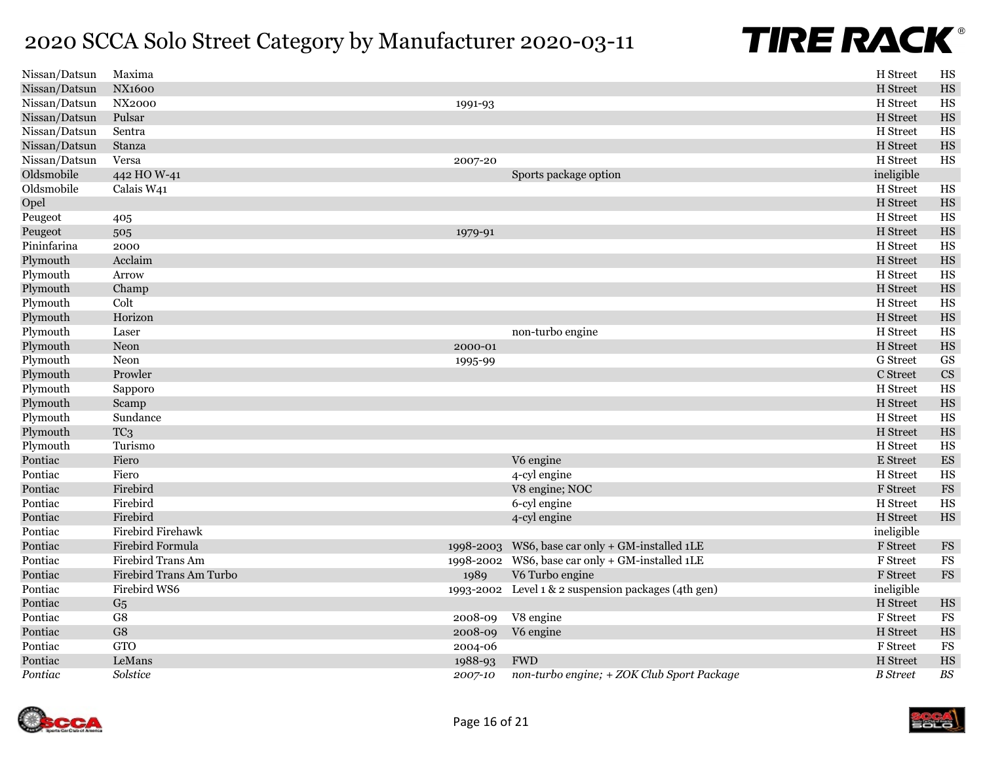| Nissan/Datsun | Maxima                  |           |                                                     | H Street         | HS                       |
|---------------|-------------------------|-----------|-----------------------------------------------------|------------------|--------------------------|
| Nissan/Datsun | <b>NX1600</b>           |           |                                                     | H Street         | HS                       |
| Nissan/Datsun | <b>NX2000</b>           | 1991-93   |                                                     | H Street         | HS                       |
| Nissan/Datsun | Pulsar                  |           |                                                     | H Street         | HS                       |
| Nissan/Datsun | Sentra                  |           |                                                     | H Street         | HS                       |
| Nissan/Datsun | Stanza                  |           |                                                     | H Street         | HS                       |
| Nissan/Datsun | Versa                   | 2007-20   |                                                     | H Street         | HS                       |
| Oldsmobile    | 442 HO W-41             |           | Sports package option                               | ineligible       |                          |
| Oldsmobile    | Calais W41              |           |                                                     | H Street         | $_{\rm HS}$              |
| Opel          |                         |           |                                                     | H Street         | HS                       |
| Peugeot       | 405                     |           |                                                     | H Street         | HS                       |
| Peugeot       | 505                     | 1979-91   |                                                     | H Street         | $_{\rm HS}$              |
| Pininfarina   | 2000                    |           |                                                     | H Street         | HS                       |
| Plymouth      | Acclaim                 |           |                                                     | H Street         | HS                       |
| Plymouth      | Arrow                   |           |                                                     | H Street         | HS                       |
| Plymouth      | Champ                   |           |                                                     | H Street         | HS                       |
| Plymouth      | Colt                    |           |                                                     | H Street         | HS                       |
| Plymouth      | Horizon                 |           |                                                     | H Street         | HS                       |
| Plymouth      | Laser                   |           | non-turbo engine                                    | H Street         | HS                       |
| Plymouth      | Neon                    | 2000-01   |                                                     | H Street         | $_{\rm HS}$              |
| Plymouth      | Neon                    | 1995-99   |                                                     | <b>G</b> Street  | $\mathbf{G}\mathbf{S}$   |
| Plymouth      | Prowler                 |           |                                                     | C Street         | $\mathbf{C}\mathbf{S}$   |
| Plymouth      | Sapporo                 |           |                                                     | H Street         | HS                       |
| Plymouth      | Scamp                   |           |                                                     | H Street         | HS                       |
| Plymouth      | Sundance                |           |                                                     | H Street         | HS                       |
| Plymouth      | TC <sub>3</sub>         |           |                                                     | H Street         | HS                       |
| Plymouth      | Turismo                 |           |                                                     | H Street         | HS                       |
| Pontiac       | Fiero                   |           | V6 engine                                           | E Street         | $\mathop{\hbox{\rm ES}}$ |
| Pontiac       | Fiero                   |           | 4-cyl engine                                        | H Street         | HS                       |
| Pontiac       | Firebird                |           | V8 engine; NOC                                      | F Street         | $\mathop{\text{\rm FS}}$ |
| Pontiac       | Firebird                |           | 6-cyl engine                                        | H Street         | HS                       |
| Pontiac       | Firebird                |           | 4-cyl engine                                        | H Street         | HS                       |
| Pontiac       | Firebird Firehawk       |           |                                                     | ineligible       |                          |
| Pontiac       | Firebird Formula        | 1998-2003 | WS6, base car only + GM-installed 1LE               | F Street         | $_{\rm FS}$              |
| Pontiac       | Firebird Trans Am       |           | 1998-2002 WS6, base car only + GM-installed 1LE     | F Street         | $_{\rm FS}$              |
| Pontiac       | Firebird Trans Am Turbo | 1989      | V6 Turbo engine                                     | ${\rm F}$ Street | $_{\rm FS}$              |
| Pontiac       | Firebird WS6            |           | 1993-2002 Level 1 & 2 suspension packages (4th gen) | ineligible       |                          |
| Pontiac       | G <sub>5</sub>          |           |                                                     | H Street         | HS                       |
| Pontiac       | G8                      | 2008-09   | V8 engine                                           | F Street         | $_{\rm FS}$              |
| Pontiac       | ${\rm G}8$              | 2008-09   | V6 engine                                           | H Street         | HS                       |
| Pontiac       | <b>GTO</b>              | 2004-06   |                                                     | F Street         | $_{\rm FS}$              |
| Pontiac       | LeMans                  | 1988-93   | <b>FWD</b>                                          | H Street         | HS                       |
| Pontiac       | Solstice                | 2007-10   | non-turbo engine; + ZOK Club Sport Package          | <b>B</b> Street  | $B\hspace{-0.9pt}S$      |



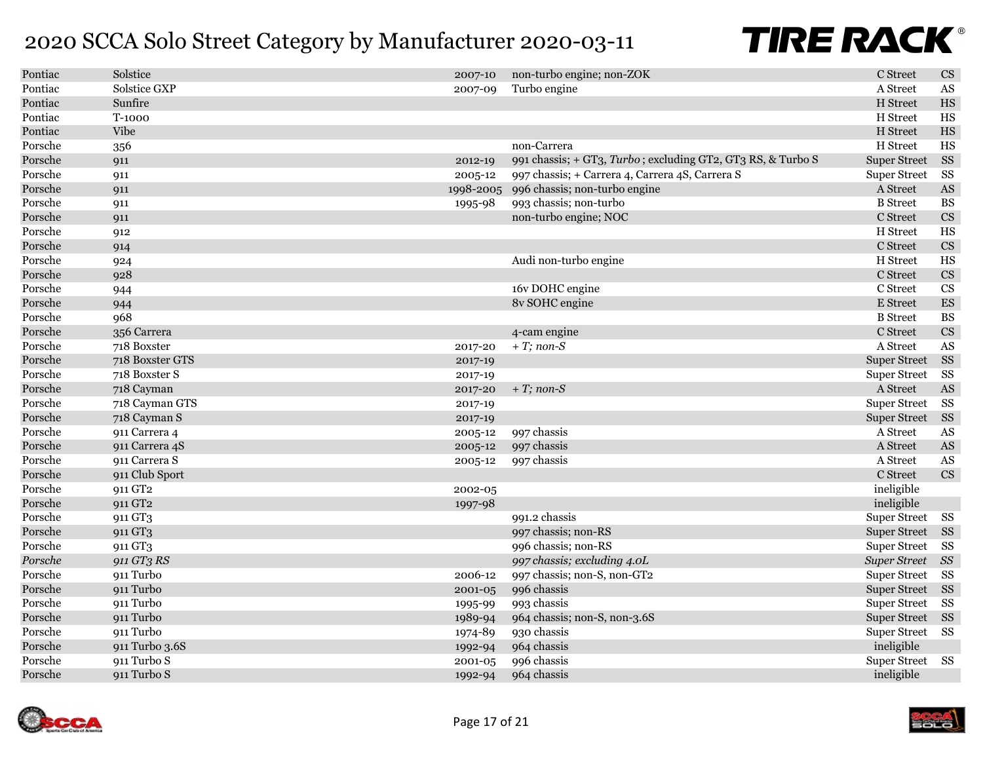| Pontiac | Solstice            | 2007-10 | non-turbo engine; non-ZOK                                   | C Street            | $\mathbf{C}\mathbf{S}$     |
|---------|---------------------|---------|-------------------------------------------------------------|---------------------|----------------------------|
| Pontiac | Solstice GXP        | 2007-09 | Turbo engine                                                | A Street            | $\mathbf{A}\mathbf{S}$     |
| Pontiac | Sunfire             |         |                                                             | H Street            | $_{\rm HS}$                |
| Pontiac | T-1000              |         |                                                             | H Street            | $_{\rm HS}$                |
| Pontiac | <b>Vibe</b>         |         |                                                             | H Street            | $_{\rm HS}$                |
| Porsche | 356                 |         | non-Carrera                                                 | H Street            | HS                         |
| Porsche | 911                 | 2012-19 | 991 chassis; + GT3, Turbo; excluding GT2, GT3 RS, & Turbo S | <b>Super Street</b> | SS                         |
| Porsche | 911                 | 2005-12 | 997 chassis; + Carrera 4, Carrera 4S, Carrera S             | <b>Super Street</b> | SS                         |
| Porsche | 911                 |         | 1998-2005 996 chassis; non-turbo engine                     | A Street            | $\mathbf{A}\mathbf{S}$     |
| Porsche | 911                 | 1995-98 | 993 chassis; non-turbo                                      | <b>B</b> Street     | <b>BS</b>                  |
| Porsche | 911                 |         | non-turbo engine; NOC                                       | C Street            | $\mathbf{C}\mathbf{S}$     |
| Porsche | 912                 |         |                                                             | H Street            | $_{\rm HS}$                |
| Porsche | 914                 |         |                                                             | C Street            | $\mathbf{C}\mathbf{S}$     |
| Porsche | 924                 |         | Audi non-turbo engine                                       | H Street            | $_{\rm HS}$                |
| Porsche | 928                 |         |                                                             | C Street            | $\mathop{\rm CS}\nolimits$ |
| Porsche | 944                 |         | 16v DOHC engine                                             | C Street            | $\overline{\text{CS}}$     |
| Porsche | 944                 |         | 8v SOHC engine                                              | E Street            | $\mathop{\hbox{\rm ES}}$   |
| Porsche | 968                 |         |                                                             | <b>B</b> Street     | <b>BS</b>                  |
| Porsche | 356 Carrera         |         | 4-cam engine                                                | C Street            | $\mathbf{C}\mathbf{S}$     |
| Porsche | 718 Boxster         | 2017-20 | $+T$ ; non-S                                                | A Street            | AS                         |
| Porsche | 718 Boxster GTS     | 2017-19 |                                                             | <b>Super Street</b> | SS                         |
| Porsche | 718 Boxster S       | 2017-19 |                                                             | <b>Super Street</b> | SS                         |
| Porsche | 718 Cayman          | 2017-20 | $+T$ ; non-S                                                | A Street            | AS                         |
| Porsche | 718 Cayman GTS      | 2017-19 |                                                             | <b>Super Street</b> | SS                         |
| Porsche | 718 Cayman S        | 2017-19 |                                                             | <b>Super Street</b> | SS                         |
| Porsche | 911 Carrera 4       | 2005-12 | 997 chassis                                                 | A Street            | $\mathbf{A}\mathbf{S}$     |
| Porsche | 911 Carrera 4S      | 2005-12 | 997 chassis                                                 | A Street            | $\mathbf{A}\mathbf{S}$     |
| Porsche | 911 Carrera S       | 2005-12 | 997 chassis                                                 | A Street            | AS                         |
| Porsche | 911 Club Sport      |         |                                                             | C Street            | CS                         |
| Porsche | 911 GT <sub>2</sub> | 2002-05 |                                                             | ineligible          |                            |
| Porsche | 911 GT <sub>2</sub> | 1997-98 |                                                             | ineligible          |                            |
| Porsche | 911 GT3             |         | 991.2 chassis                                               | <b>Super Street</b> | SS                         |
| Porsche | 911 GT3             |         | 997 chassis; non-RS                                         | <b>Super Street</b> | SS                         |
| Porsche | 911 GT3             |         | 996 chassis; non-RS                                         | <b>Super Street</b> | SS                         |
| Porsche | 911 GT3 RS          |         | 997 chassis; excluding 4.0L                                 | <b>Super Street</b> | SS                         |
| Porsche | 911 Turbo           | 2006-12 | 997 chassis; non-S, non-GT2                                 | <b>Super Street</b> | SS                         |
| Porsche | 911 Turbo           | 2001-05 | 996 chassis                                                 | <b>Super Street</b> | SS                         |
| Porsche | 911 Turbo           | 1995-99 | 993 chassis                                                 | <b>Super Street</b> | SS                         |
| Porsche | 911 Turbo           | 1989-94 | 964 chassis; non-S, non-3.6S                                | Super Street SS     |                            |
| Porsche | 911 Turbo           | 1974-89 | 930 chassis                                                 | <b>Super Street</b> | SS                         |
| Porsche | 911 Turbo 3.6S      | 1992-94 | 964 chassis                                                 | ineligible          |                            |
| Porsche | 911 Turbo S         | 2001-05 | 996 chassis                                                 | Super Street SS     |                            |
| Porsche | 911 Turbo S         | 1992-94 | 964 chassis                                                 | ineligible          |                            |

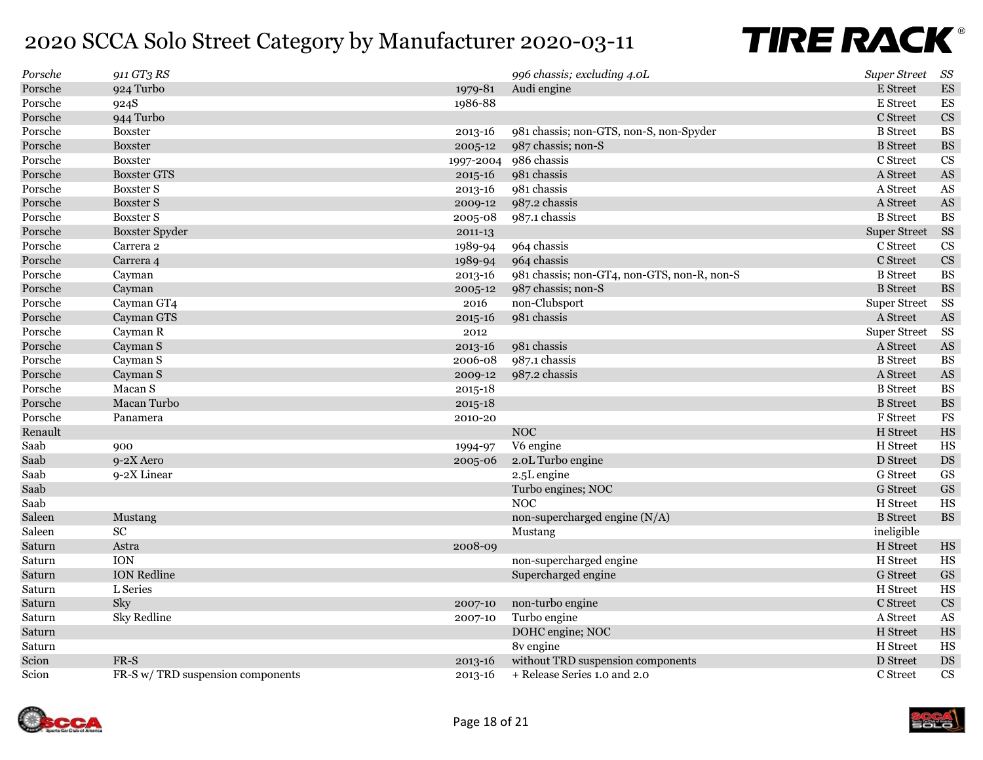| Porsche | 911 GT3 RS                        |             | 996 chassis; excluding 4.0L                 | <b>Super Street</b> | SS                     |
|---------|-----------------------------------|-------------|---------------------------------------------|---------------------|------------------------|
| Porsche | 924 Turbo                         | 1979-81     | Audi engine                                 | E Street            | ${\rm ES}$             |
| Porsche | 924S                              | 1986-88     |                                             | E Street            | ${\rm ES}$             |
| Porsche | 944 Turbo                         |             |                                             | C Street            | $\mathbf{C}\mathbf{S}$ |
| Porsche | <b>Boxster</b>                    | 2013-16     | 981 chassis; non-GTS, non-S, non-Spyder     | <b>B</b> Street     | <b>BS</b>              |
| Porsche | <b>Boxster</b>                    | 2005-12     | 987 chassis; non-S                          | <b>B</b> Street     | $\mathbf{B}\mathbf{S}$ |
| Porsche | <b>Boxster</b>                    | 1997-2004   | 986 chassis                                 | C Street            | <b>CS</b>              |
| Porsche | <b>Boxster GTS</b>                | $2015 - 16$ | 981 chassis                                 | A Street            | $\mathbf{A}\mathbf{S}$ |
| Porsche | <b>Boxster S</b>                  | 2013-16     | 981 chassis                                 | A Street            | AS                     |
| Porsche | <b>Boxster S</b>                  | 2009-12     | 987.2 chassis                               | A Street            | $\mathbf{A}\mathbf{S}$ |
| Porsche | <b>Boxster S</b>                  | 2005-08     | 987.1 chassis                               | <b>B</b> Street     | $\mathbf{B}\mathbf{S}$ |
| Porsche | <b>Boxster Spyder</b>             | 2011-13     |                                             | <b>Super Street</b> | SS                     |
| Porsche | Carrera 2                         | 1989-94     | 964 chassis                                 | C Street            | CS                     |
| Porsche | Carrera 4                         | 1989-94     | 964 chassis                                 | C Street            | $\mathbf{C}\mathbf{S}$ |
| Porsche | Cayman                            | 2013-16     | 981 chassis; non-GT4, non-GTS, non-R, non-S | <b>B</b> Street     | <b>BS</b>              |
| Porsche | Cayman                            | 2005-12     | 987 chassis; non-S                          | <b>B</b> Street     | $\mathbf{B}\mathbf{S}$ |
| Porsche | Cayman GT4                        | 2016        | non-Clubsport                               | <b>Super Street</b> | SS                     |
| Porsche | Cayman GTS                        | $2015 - 16$ | 981 chassis                                 | A Street            | $\mathbf{A}\mathbf{S}$ |
| Porsche | Cayman R                          | 2012        |                                             | <b>Super Street</b> | SS                     |
| Porsche | Cayman S                          | $2013 - 16$ | 981 chassis                                 | A Street            | AS                     |
| Porsche | Cayman S                          | 2006-08     | 987.1 chassis                               | <b>B</b> Street     | <b>BS</b>              |
| Porsche | Cayman S                          | 2009-12     | 987.2 chassis                               | A Street            | $\mathbf{A}\mathbf{S}$ |
| Porsche | Macan S                           | 2015-18     |                                             | <b>B</b> Street     | <b>BS</b>              |
| Porsche | Macan Turbo                       | 2015-18     |                                             | <b>B</b> Street     | $\mathbf{B}\mathbf{S}$ |
| Porsche | Panamera                          | 2010-20     |                                             | F Street            | $_{\rm FS}$            |
| Renault |                                   |             | <b>NOC</b>                                  | H Street            | $_{\rm HS}$            |
| Saab    | 900                               | 1994-97     | V6 engine                                   | H Street            | $_{\rm HS}$            |
| Saab    | 9-2X Aero                         | 2005-06     | 2.0L Turbo engine                           | D Street            | $\mathop{\rm DS}$      |
| Saab    | 9-2X Linear                       |             | 2.5L engine                                 | G Street            | GS                     |
| Saab    |                                   |             | Turbo engines; NOC                          | <b>G</b> Street     | $\operatorname{GS}$    |
| Saab    |                                   |             | <b>NOC</b>                                  | H Street            | $_{\rm HS}$            |
| Saleen  | Mustang                           |             | non-supercharged engine $(N/A)$             | <b>B</b> Street     | $\mathbf{B}\mathbf{S}$ |
| Saleen  | SC                                |             | Mustang                                     | ineligible          |                        |
| Saturn  | Astra                             | 2008-09     |                                             | H Street            | HS                     |
| Saturn  | <b>ION</b>                        |             | non-supercharged engine                     | H Street            | $_{\rm HS}$            |
| Saturn  | <b>ION Redline</b>                |             | Supercharged engine                         | <b>G</b> Street     | $\operatorname{GS}$    |
| Saturn  | L Series                          |             |                                             | H Street            | $_{\rm HS}$            |
| Saturn  | Sky                               | 2007-10     | non-turbo engine                            | C Street            | $\mathbf{C}\mathbf{S}$ |
| Saturn  | <b>Sky Redline</b>                | 2007-10     | Turbo engine                                | A Street            | AS                     |
| Saturn  |                                   |             | DOHC engine; NOC                            | H Street            | $_{\rm HS}$            |
| Saturn  |                                   |             | 8v engine                                   | H Street            | $_{\rm HS}$            |
| Scion   | $FR-S$                            | 2013-16     | without TRD suspension components           | D Street            | $\mathop{\rm DS}$      |
| Scion   | FR-S w/ TRD suspension components | 2013-16     | + Release Series 1.0 and 2.0                | C Street            | $\mathbf{C}\mathbf{S}$ |



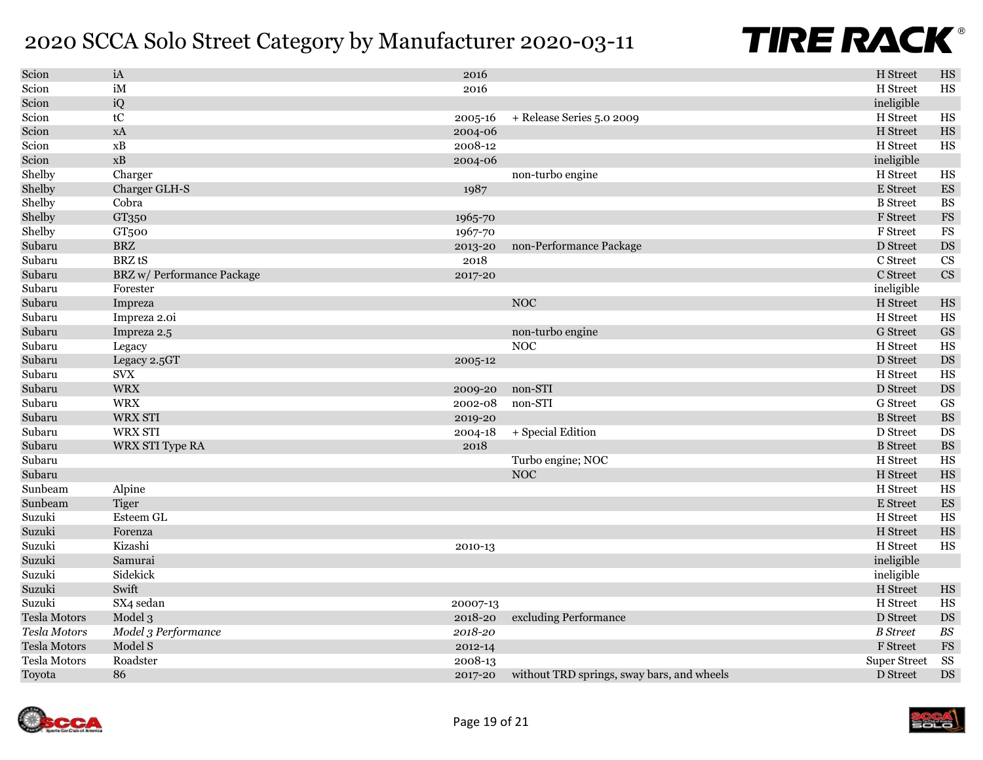| Scion               | iA                         | 2016        |                                            | H Street            | $_{\rm HS}$              |
|---------------------|----------------------------|-------------|--------------------------------------------|---------------------|--------------------------|
| Scion               | iM                         | 2016        |                                            | H Street            | HS                       |
| Scion               | iQ                         |             |                                            | ineligible          |                          |
| Scion               | $\mathsf{t} \mathsf{C}$    | 2005-16     | + Release Series 5.0 2009                  | H Street            | $_{\rm HS}$              |
| Scion               | <b>xA</b>                  | 2004-06     |                                            | H Street            | $_{\rm HS}$              |
| Scion               | xB                         | 2008-12     |                                            | H Street            | $_{\rm HS}$              |
| Scion               | xB                         | 2004-06     |                                            | ineligible          |                          |
| Shelby              | Charger                    |             | non-turbo engine                           | H Street            | $_{\rm HS}$              |
| Shelby              | Charger GLH-S              | 1987        |                                            | E Street            | $\mathop{\hbox{\rm ES}}$ |
| Shelby              | Cobra                      |             |                                            | <b>B</b> Street     | <b>BS</b>                |
| Shelby              | GT350                      | 1965-70     |                                            | F Street            | $_{\rm FS}$              |
| Shelby              | GT <sub>500</sub>          | 1967-70     |                                            | F Street            | <b>FS</b>                |
| Subaru              | <b>BRZ</b>                 | 2013-20     | non-Performance Package                    | D Street            | $\mathop{\rm DS}$        |
| Subaru              | <b>BRZ</b> tS              | 2018        |                                            | C Street            | $\mathbf{C}\mathbf{S}$   |
| Subaru              | BRZ w/ Performance Package | 2017-20     |                                            | C Street            | CS                       |
| Subaru              | Forester                   |             |                                            | ineligible          |                          |
| Subaru              | Impreza                    |             | <b>NOC</b>                                 | H Street            | HS                       |
| Subaru              | Impreza 2.0i               |             |                                            | H Street            | HS                       |
| Subaru              | Impreza 2.5                |             | non-turbo engine                           | <b>G</b> Street     | $\operatorname{GS}$      |
| Subaru              | Legacy                     |             | <b>NOC</b>                                 | H Street            | HS                       |
| Subaru              | Legacy 2.5GT               | 2005-12     |                                            | D Street            | $\mathop{\rm DS}$        |
| Subaru              | <b>SVX</b>                 |             |                                            | H Street            | HS                       |
| Subaru              | <b>WRX</b>                 | 2009-20     | non-STI                                    | D Street            | $\mathop{\rm DS}$        |
| Subaru              | <b>WRX</b>                 | 2002-08     | non-STI                                    | G Street            | $\mathbf{G}\mathbf{S}$   |
| Subaru              | WRX STI                    | 2019-20     |                                            | <b>B</b> Street     | $\mathbf{B}\mathbf{S}$   |
| Subaru              | <b>WRX STI</b>             | 2004-18     | + Special Edition                          | D Street            | DS                       |
| Subaru              | WRX STI Type RA            | 2018        |                                            | <b>B</b> Street     | $\mathbf{B}\mathbf{S}$   |
| Subaru              |                            |             | Turbo engine; NOC                          | H Street            | HS                       |
| Subaru              |                            |             | NOC                                        | H Street            | $_{\rm HS}$              |
| Sunbeam             | Alpine                     |             |                                            | H Street            | $_{\rm HS}$              |
| Sunbeam             | <b>Tiger</b>               |             |                                            | E Street            | ${\rm ES}$               |
| Suzuki              | Esteem GL                  |             |                                            | H Street            | $_{\rm HS}$              |
| Suzuki              | Forenza                    |             |                                            | H Street            | $_{\rm HS}$              |
| Suzuki              | Kizashi                    | 2010-13     |                                            | H Street            | HS                       |
| Suzuki              | Samurai                    |             |                                            | ineligible          |                          |
| Suzuki              | Sidekick                   |             |                                            | ineligible          |                          |
| Suzuki              | Swift                      |             |                                            | H Street            | $_{\rm HS}$              |
| Suzuki              | SX4 sedan                  | 20007-13    |                                            | H Street            | $_{\rm HS}$              |
| <b>Tesla Motors</b> | Model 3                    | 2018-20     | excluding Performance                      | D Street            | $\mathop{\rm DS}$        |
| Tesla Motors        | Model 3 Performance        | $2018 - 20$ |                                            | <b>B</b> Street     | $B\!S$                   |
| <b>Tesla Motors</b> | Model S                    | 2012-14     |                                            | F Street            | $_{\rm FS}$              |
| <b>Tesla Motors</b> | Roadster                   | 2008-13     |                                            | <b>Super Street</b> | SS                       |
| Toyota              | 86                         | 2017-20     | without TRD springs, sway bars, and wheels | D Street            | $\mathbf{D}\mathbf{S}$   |



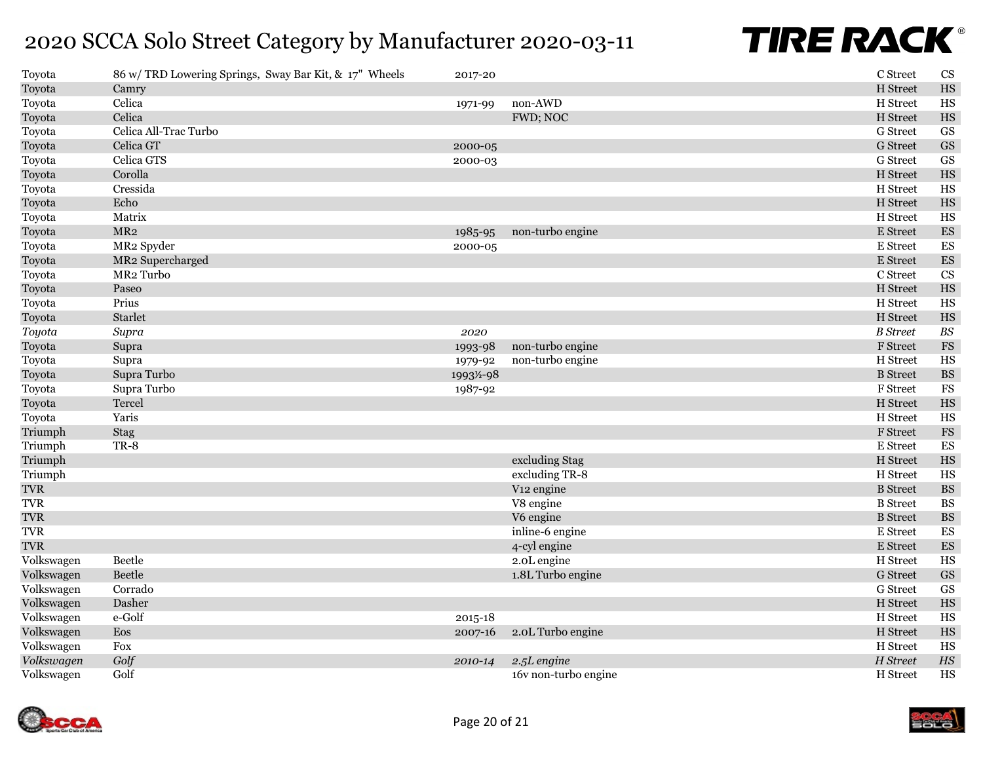| Toyota     | 86 w/ TRD Lowering Springs, Sway Bar Kit, & 17" Wheels | 2017-20  |                        | C Street        | CS                       |
|------------|--------------------------------------------------------|----------|------------------------|-----------------|--------------------------|
| Toyota     | Camry                                                  |          |                        | H Street        | HS                       |
| Toyota     | Celica                                                 | 1971-99  | non-AWD                | H Street        | HS                       |
| Toyota     | Celica                                                 |          | FWD; NOC               | H Street        | $_{\rm HS}$              |
| Toyota     | Celica All-Trac Turbo                                  |          |                        | G Street        | <b>GS</b>                |
| Toyota     | Celica GT                                              | 2000-05  |                        | <b>G</b> Street | $\operatorname{GS}$      |
| Toyota     | Celica GTS                                             | 2000-03  |                        | <b>G</b> Street | GS                       |
| Toyota     | Corolla                                                |          |                        | H Street        | HS                       |
| Toyota     | Cressida                                               |          |                        | H Street        | $_{\rm HS}$              |
| Toyota     | Echo                                                   |          |                        | H Street        | HS                       |
| Toyota     | Matrix                                                 |          |                        | H Street        | HS                       |
| Toyota     | MR2                                                    | 1985-95  | non-turbo engine       | E Street        | $\mathop{\hbox{\rm ES}}$ |
| Toyota     | MR2 Spyder                                             | 2000-05  |                        | E Street        | $\mathop{\hbox{\rm ES}}$ |
| Toyota     | MR2 Supercharged                                       |          |                        | E Street        | ${\rm ES}$               |
| Toyota     | MR <sub>2</sub> Turbo                                  |          |                        | C Street        | CS                       |
| Toyota     | Paseo                                                  |          |                        | H Street        | HS                       |
| Toyota     | Prius                                                  |          |                        | H Street        | HS                       |
| Toyota     | Starlet                                                |          |                        | H Street        | HS                       |
| Toyota     | Supra                                                  | 2020     |                        | <b>B</b> Street | $B\hspace{-0.9pt}S$      |
| Toyota     | Supra                                                  | 1993-98  | non-turbo engine       | F Street        | $_{\rm FS}$              |
| Toyota     | Supra                                                  | 1979-92  | non-turbo engine       | H Street        | HS                       |
| Toyota     | Supra Turbo                                            | 1993½-98 |                        | <b>B</b> Street | $\mathbf{BS}$            |
| Toyota     | Supra Turbo                                            | 1987-92  |                        | F Street        | $_{\rm FS}$              |
| Toyota     | Tercel                                                 |          |                        | H Street        | HS                       |
| Toyota     | Yaris                                                  |          |                        | H Street        | $_{\rm HS}$              |
| Triumph    | Stag                                                   |          |                        | F Street        | $_{\rm FS}$              |
| Triumph    | TR-8                                                   |          |                        | E Street        | ${\rm ES}$               |
| Triumph    |                                                        |          | excluding Stag         | H Street        | HS                       |
| Triumph    |                                                        |          | excluding TR-8         | H Street        | HS                       |
| <b>TVR</b> |                                                        |          | V <sub>12</sub> engine | <b>B</b> Street | $\mathbf{BS}$            |
| <b>TVR</b> |                                                        |          | V8 engine              | <b>B</b> Street | $\mathbf{BS}$            |
| <b>TVR</b> |                                                        |          | V6 engine              | <b>B</b> Street | $\mathbf{B}\mathbf{S}$   |
| <b>TVR</b> |                                                        |          | inline-6 engine        | E Street        | ES                       |
| <b>TVR</b> |                                                        |          | 4-cyl engine           | E Street        | $\mathop{\hbox{\rm ES}}$ |
| Volkswagen | Beetle                                                 |          | 2.0L engine            | H Street        | HS                       |
| Volkswagen | Beetle                                                 |          | 1.8L Turbo engine      | <b>G</b> Street | $\operatorname{GS}$      |
| Volkswagen | Corrado                                                |          |                        | <b>G</b> Street | <b>GS</b>                |
| Volkswagen | Dasher                                                 |          |                        | H Street        | HS                       |
| Volkswagen | e-Golf                                                 | 2015-18  |                        | H Street        | HS                       |
| Volkswagen | Eos                                                    | 2007-16  | 2.0L Turbo engine      | H Street        | HS                       |
| Volkswagen | Fox                                                    |          |                        | H Street        | HS                       |
| Volkswagen | Golf                                                   | 2010-14  | 2.5L engine            | H Street        | $\it HS$                 |
| Volkswagen | Golf                                                   |          | 16v non-turbo engine   | H Street        | HS                       |

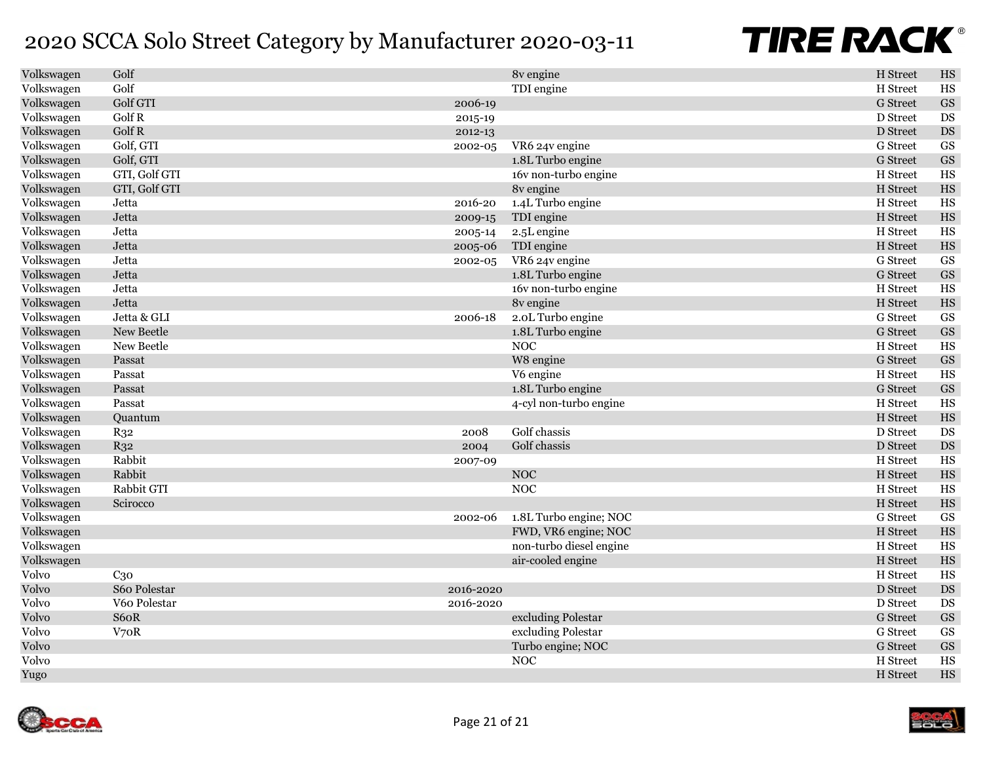| Volkswagen | Golf            |           | 8v engine               | H Street        | $_{\rm HS}$            |
|------------|-----------------|-----------|-------------------------|-----------------|------------------------|
| Volkswagen | Golf            |           | TDI engine              | H Street        | <b>HS</b>              |
| Volkswagen | Golf GTI        | 2006-19   |                         | <b>G</b> Street | $\mathbf{G}\mathbf{S}$ |
| Volkswagen | Golf R          | 2015-19   |                         | D Street        | DS                     |
| Volkswagen | Golf R          | 2012-13   |                         | D Street        | $\mathbf{D}\mathbf{S}$ |
| Volkswagen | Golf, GTI       | 2002-05   | VR6 24v engine          | <b>G</b> Street | <b>GS</b>              |
| Volkswagen | Golf, GTI       |           | 1.8L Turbo engine       | <b>G</b> Street | $\mathbf{G}\mathbf{S}$ |
| Volkswagen | GTI, Golf GTI   |           | 16v non-turbo engine    | H Street        | HS                     |
| Volkswagen | GTI, Golf GTI   |           | 8v engine               | H Street        | $_{\rm HS}$            |
| Volkswagen | Jetta           | 2016-20   | 1.4L Turbo engine       | H Street        | $_{\rm HS}$            |
| Volkswagen | Jetta           | 2009-15   | TDI engine              | H Street        | $_{\rm HS}$            |
| Volkswagen | Jetta           | 2005-14   | 2.5L engine             | H Street        | HS                     |
| Volkswagen | Jetta           | 2005-06   | TDI engine              | H Street        | $_{\rm HS}$            |
| Volkswagen | Jetta           | 2002-05   | VR6 24v engine          | G Street        | <b>GS</b>              |
| Volkswagen | Jetta           |           | 1.8L Turbo engine       | <b>G</b> Street | <b>GS</b>              |
| Volkswagen | Jetta           |           | 16v non-turbo engine    | H Street        | HS                     |
| Volkswagen | Jetta           |           | 8v engine               | H Street        | $_{\rm HS}$            |
| Volkswagen | Jetta & GLI     | 2006-18   | 2.0L Turbo engine       | G Street        | GS                     |
| Volkswagen | New Beetle      |           | 1.8L Turbo engine       | <b>G</b> Street | GS                     |
| Volkswagen | New Beetle      |           | <b>NOC</b>              | H Street        | $_{\rm HS}$            |
| Volkswagen | Passat          |           | W8 engine               | <b>G</b> Street | $\mathbf{G}\mathbf{S}$ |
| Volkswagen | Passat          |           | V6 engine               | H Street        | HS                     |
| Volkswagen | Passat          |           | 1.8L Turbo engine       | <b>G</b> Street | $\mathbf{G}\mathbf{S}$ |
| Volkswagen | Passat          |           | 4-cyl non-turbo engine  | H Street        | <b>HS</b>              |
| Volkswagen | Ouantum         |           |                         | H Street        | $_{\rm HS}$            |
| Volkswagen | R <sub>32</sub> | 2008      | Golf chassis            | D Street        | <b>DS</b>              |
| Volkswagen | $R_{32}$        | 2004      | Golf chassis            | D Street        | $\mathbf{D}\mathbf{S}$ |
| Volkswagen | Rabbit          | 2007-09   |                         | H Street        | HS                     |
| Volkswagen | Rabbit          |           | <b>NOC</b>              | H Street        | $_{\rm HS}$            |
| Volkswagen | Rabbit GTI      |           | <b>NOC</b>              | H Street        | $_{\rm HS}$            |
| Volkswagen | Scirocco        |           |                         | H Street        | $_{\rm HS}$            |
| Volkswagen |                 | 2002-06   | 1.8L Turbo engine; NOC  | G Street        | <b>GS</b>              |
| Volkswagen |                 |           | FWD, VR6 engine; NOC    | H Street        | $_{\rm HS}$            |
| Volkswagen |                 |           | non-turbo diesel engine | H Street        | $_{\rm HS}$            |
| Volkswagen |                 |           | air-cooled engine       | H Street        | $_{\rm HS}$            |
| Volvo      | C <sub>30</sub> |           |                         | H Street        | $_{\rm HS}$            |
| Volvo      | S60 Polestar    | 2016-2020 |                         | D Street        | $\mathbf{D}\mathbf{S}$ |
| Volvo      | V60 Polestar    | 2016-2020 |                         | D Street        | <b>DS</b>              |
| Volvo      | S60R            |           | excluding Polestar      | <b>G</b> Street | $\mathbf{G}\mathbf{S}$ |
| Volvo      | V70R            |           | excluding Polestar      | G Street        | <b>GS</b>              |
| Volvo      |                 |           | Turbo engine; NOC       | <b>G</b> Street | <b>GS</b>              |
| Volvo      |                 |           | <b>NOC</b>              | H Street        | HS                     |
| Yugo       |                 |           |                         | H Street        | $_{\rm HS}$            |